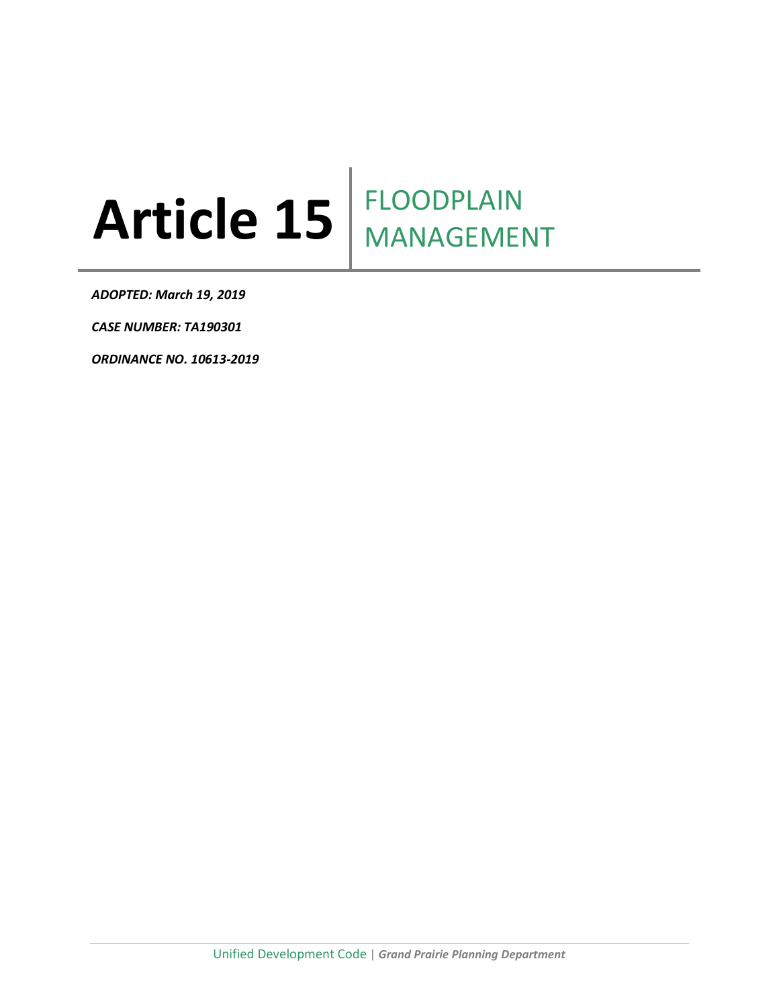# Article 15 **FLOODPLAIN**

*ADOPTED: March 19, 2019*

*CASE NUMBER: TA190301*

*ORDINANCE NO. 10613-2019*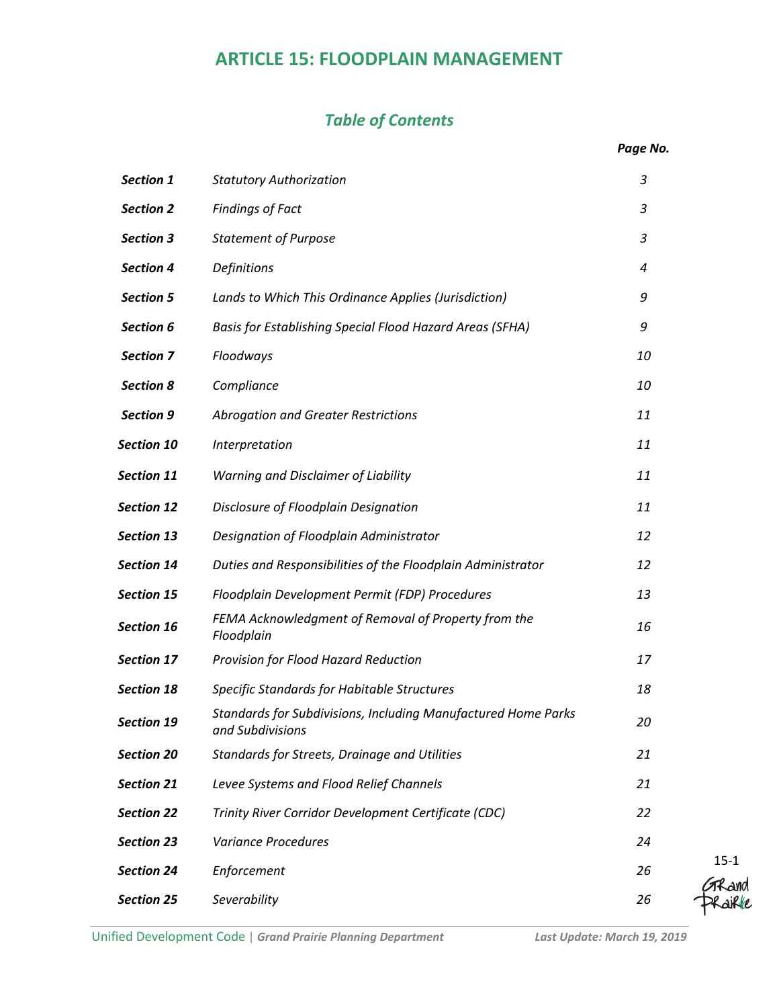## *Table of Contents*

|                   |                                                                                   | Page No. |
|-------------------|-----------------------------------------------------------------------------------|----------|
| Section 1         | <b>Statutory Authorization</b>                                                    | 3        |
| <b>Section 2</b>  | <b>Findings of Fact</b>                                                           | 3        |
| Section 3         | <b>Statement of Purpose</b>                                                       | 3        |
| Section 4         | Definitions                                                                       | 4        |
| <b>Section 5</b>  | Lands to Which This Ordinance Applies (Jurisdiction)                              | 9        |
| Section 6         | Basis for Establishing Special Flood Hazard Areas (SFHA)                          | 9        |
| <b>Section 7</b>  | Floodways                                                                         | 10       |
| <b>Section 8</b>  | Compliance                                                                        | 10       |
| Section 9         | Abrogation and Greater Restrictions                                               | 11       |
| Section 10        | Interpretation                                                                    | 11       |
| Section 11        | Warning and Disclaimer of Liability                                               | 11       |
| Section 12        | Disclosure of Floodplain Designation                                              | 11       |
| Section 13        | Designation of Floodplain Administrator                                           | 12       |
| Section 14        | Duties and Responsibilities of the Floodplain Administrator                       | 12       |
| Section 15        | Floodplain Development Permit (FDP) Procedures                                    | 13       |
| Section 16        | FEMA Acknowledgment of Removal of Property from the<br>Floodplain                 | 16       |
| Section 17        | Provision for Flood Hazard Reduction                                              | 17       |
| Section 18        | Specific Standards for Habitable Structures                                       | 18       |
| Section 19        | Standards for Subdivisions, Including Manufactured Home Parks<br>and Subdivisions | 20       |
| <b>Section 20</b> | Standards for Streets, Drainage and Utilities                                     | 21       |
| <b>Section 21</b> | Levee Systems and Flood Relief Channels                                           | 21       |
| <b>Section 22</b> | Trinity River Corridor Development Certificate (CDC)                              | 22       |
| <b>Section 23</b> | <b>Variance Procedures</b>                                                        | 24       |
| <b>Section 24</b> | Enforcement                                                                       | 26       |
| Section 25        | Severability                                                                      | 26       |

Unified Development Code | *Grand Prairie Planning Department Last Update: March 19, 2019*

15-1<br>GRand<br>PRaiRle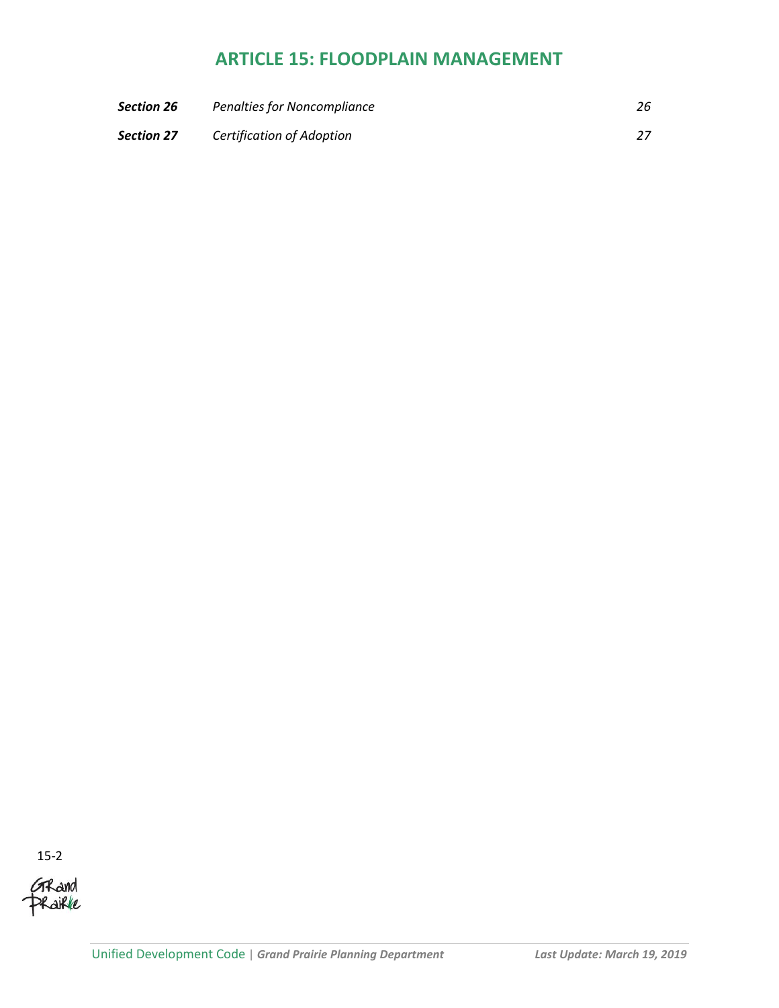| <b>Section 26</b> | Penalties for Noncompliance | 26 |
|-------------------|-----------------------------|----|
| <b>Section 27</b> | Certification of Adoption   |    |

15-2

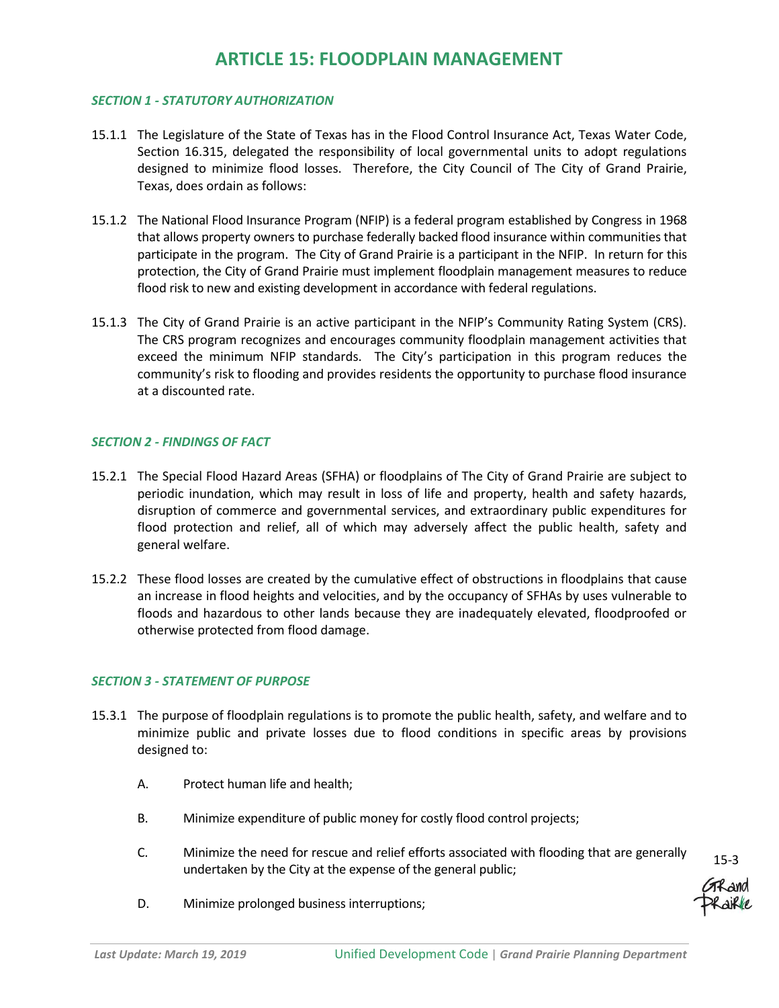#### *SECTION 1 - STATUTORY AUTHORIZATION*

- 15.1.1 The Legislature of the State of Texas has in the Flood Control Insurance Act, Texas Water Code, Section 16.315, delegated the responsibility of local governmental units to adopt regulations designed to minimize flood losses. Therefore, the City Council of The City of Grand Prairie, Texas, does ordain as follows:
- 15.1.2 The National Flood Insurance Program (NFIP) is a federal program established by Congress in 1968 that allows property owners to purchase federally backed flood insurance within communities that participate in the program. The City of Grand Prairie is a participant in the NFIP. In return for this protection, the City of Grand Prairie must implement floodplain management measures to reduce flood risk to new and existing development in accordance with federal regulations.
- 15.1.3 The City of Grand Prairie is an active participant in the NFIP's Community Rating System (CRS). The CRS program recognizes and encourages community floodplain management activities that exceed the minimum NFIP standards. The City's participation in this program reduces the community's risk to flooding and provides residents the opportunity to purchase flood insurance at a discounted rate.

#### *SECTION 2 - FINDINGS OF FACT*

- 15.2.1 The Special Flood Hazard Areas (SFHA) or floodplains of The City of Grand Prairie are subject to periodic inundation, which may result in loss of life and property, health and safety hazards, disruption of commerce and governmental services, and extraordinary public expenditures for flood protection and relief, all of which may adversely affect the public health, safety and general welfare.
- 15.2.2 These flood losses are created by the cumulative effect of obstructions in floodplains that cause an increase in flood heights and velocities, and by the occupancy of SFHAs by uses vulnerable to floods and hazardous to other lands because they are inadequately elevated, floodproofed or otherwise protected from flood damage.

## *SECTION 3 - STATEMENT OF PURPOSE*

- 15.3.1 The purpose of floodplain regulations is to promote the public health, safety, and welfare and to minimize public and private losses due to flood conditions in specific areas by provisions designed to:
	- A. Protect human life and health;
	- B. Minimize expenditure of public money for costly flood control projects;
	- C. Minimize the need for rescue and relief efforts associated with flooding that are generally undertaken by the City at the expense of the general public;

15-3

D. Minimize prolonged business interruptions;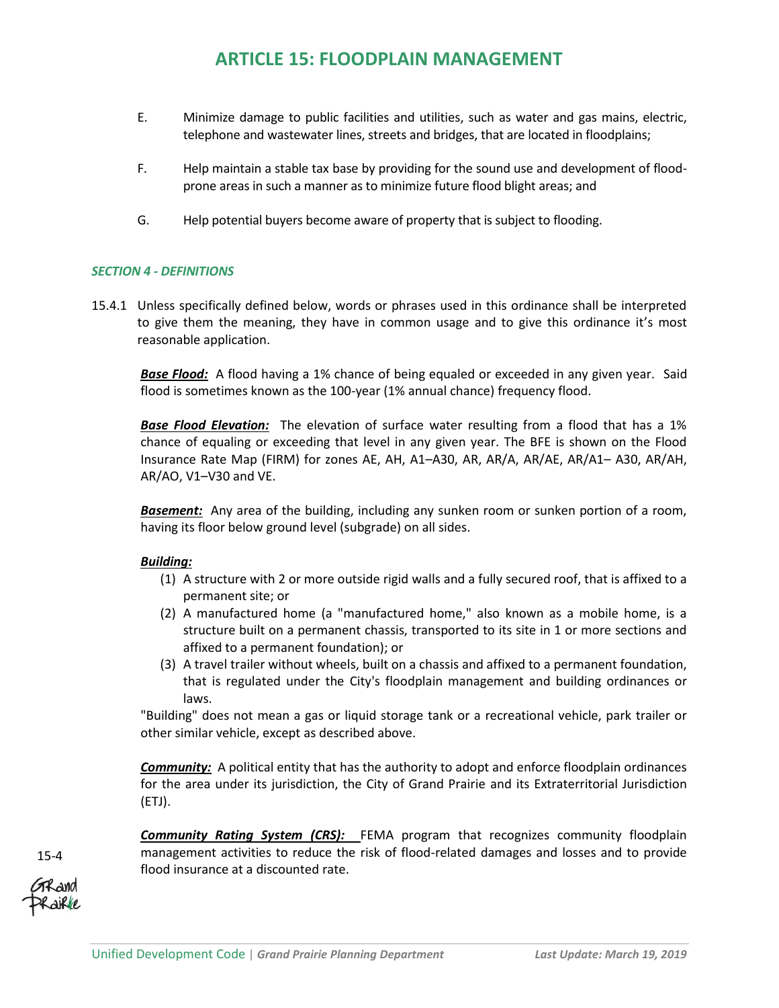- E. Minimize damage to public facilities and utilities, such as water and gas mains, electric, telephone and wastewater lines, streets and bridges, that are located in floodplains;
- F. Help maintain a stable tax base by providing for the sound use and development of floodprone areas in such a manner as to minimize future flood blight areas; and
- G. Help potential buyers become aware of property that is subject to flooding.

#### *SECTION 4 - DEFINITIONS*

15.4.1 Unless specifically defined below, words or phrases used in this ordinance shall be interpreted to give them the meaning, they have in common usage and to give this ordinance it's most reasonable application.

**Base Flood:** A flood having a 1% chance of being equaled or exceeded in any given year. Said flood is sometimes known as the 100-year (1% annual chance) frequency flood.

*Base Flood Elevation:* The elevation of surface water resulting from a flood that has a 1% chance of equaling or exceeding that level in any given year. The BFE is shown on the Flood Insurance Rate Map (FIRM) for zones AE, AH, A1–A30, AR, AR/A, AR/AE, AR/A1– A30, AR/AH, AR/AO, V1–V30 and VE.

**Basement:** Any area of the building, including any sunken room or sunken portion of a room, having its floor below ground level (subgrade) on all sides.

#### *Building:*

- (1) A structure with 2 or more outside rigid walls and a fully secured roof, that is affixed to a permanent site; or
- (2) A manufactured home (a "manufactured home," also known as a mobile home, is a structure built on a permanent chassis, transported to its site in 1 or more sections and affixed to a permanent foundation); or
- (3) A travel trailer without wheels, built on a chassis and affixed to a permanent foundation, that is regulated under the City's floodplain management and building ordinances or laws.

"Building" does not mean a gas or liquid storage tank or a recreational vehicle, park trailer or other similar vehicle, except as described above.

*Community:* A political entity that has the authority to adopt and enforce floodplain ordinances for the area under its jurisdiction, the City of Grand Prairie and its Extraterritorial Jurisdiction (ETJ).

*Community Rating System (CRS):* FEMA program that recognizes community floodplain management activities to reduce the risk of flood-related damages and losses and to provide flood insurance at a discounted rate.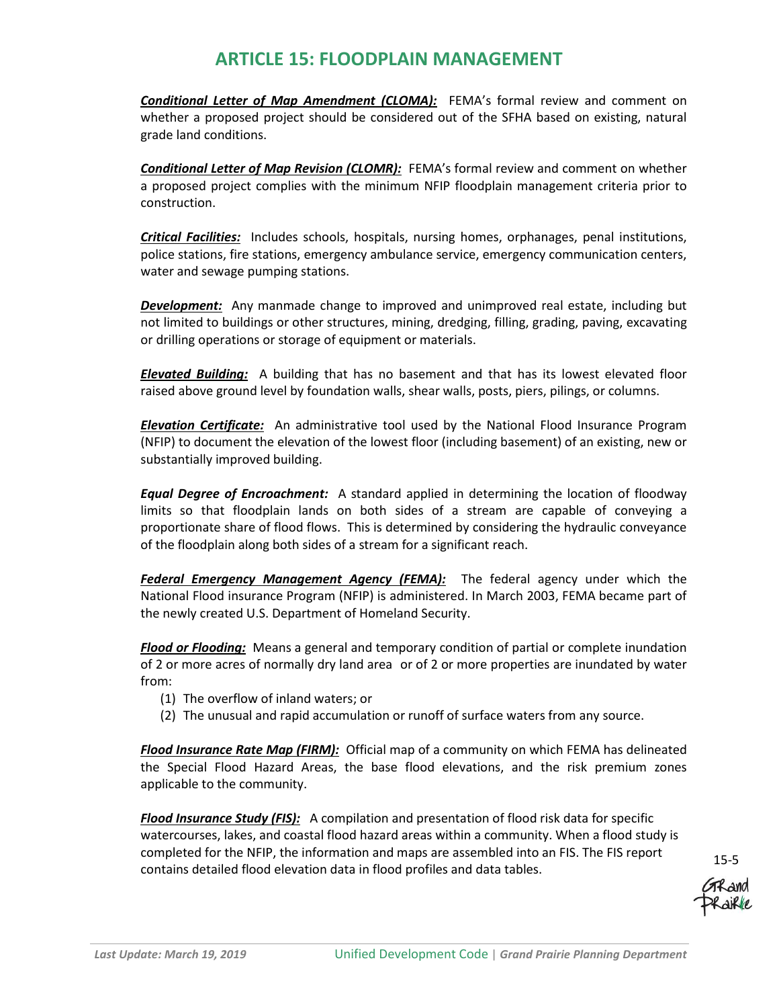*Conditional Letter of Map Amendment (CLOMA):*FEMA's formal review and comment on whether a proposed project should be considered out of the SFHA based on existing, natural grade land conditions.

*Conditional Letter of Map Revision (CLOMR):* FEMA's formal review and comment on whether a proposed project complies with the minimum NFIP floodplain management criteria prior to construction.

*Critical Facilities:* Includes schools, hospitals, nursing homes, orphanages, penal institutions, police stations, fire stations, emergency ambulance service, emergency communication centers, water and sewage pumping stations.

*Development:* Any manmade change to improved and unimproved real estate, including but not limited to buildings or other structures, mining, dredging, filling, grading, paving, excavating or drilling operations or storage of equipment or materials.

*Elevated Building:* A building that has no basement and that has its lowest elevated floor raised above ground level by foundation walls, shear walls, posts, piers, pilings, or columns.

*Elevation Certificate:* An administrative tool used by the National Flood Insurance Program (NFIP) to document the elevation of the lowest floor (including basement) of an existing, new or substantially improved building.

*Equal Degree of Encroachment:* A standard applied in determining the location of floodway limits so that floodplain lands on both sides of a stream are capable of conveying a proportionate share of flood flows. This is determined by considering the hydraulic conveyance of the floodplain along both sides of a stream for a significant reach.

*Federal Emergency Management Agency (FEMA):* The federal agency under which the National Flood insurance Program (NFIP) is administered. In March 2003, FEMA became part of the newly created U.S. Department of Homeland Security.

*Flood or Flooding:* Means a general and temporary condition of partial or complete inundation of 2 or more acres of normally dry land area or of 2 or more properties are inundated by water from:

- (1) The overflow of inland waters; or
- (2) The unusual and rapid accumulation or runoff of surface waters from any source.

*Flood Insurance Rate Map (FIRM):* Official map of a community on which FEMA has delineated the Special Flood Hazard Areas, the base flood elevations, and the risk premium zones applicable to the community.

*Flood Insurance Study (FIS):* A compilation and presentation of flood risk data for specific watercourses, lakes, and coastal flood hazard areas within a community. When a flood study is completed for the NFIP, the information and maps are assembled into an FIS. The FIS report contains detailed flood elevation data in flood profiles and data tables.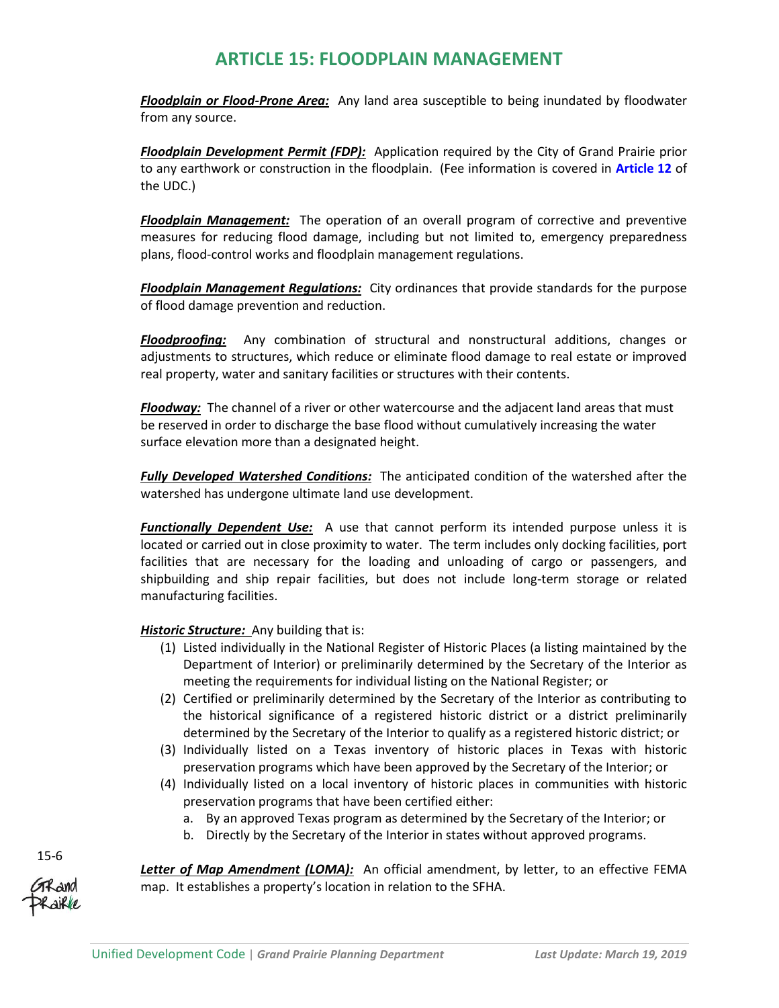*Floodplain or Flood-Prone Area:* Any land area susceptible to being inundated by floodwater from any source.

*Floodplain Development Permit (FDP):* Application required by the City of Grand Prairie prior to any earthwork or construction in the floodplain. (Fee information is covered in **Article 12** of the UDC.)

*Floodplain Management:* The operation of an overall program of corrective and preventive measures for reducing flood damage, including but not limited to, emergency preparedness plans, flood-control works and floodplain management regulations.

*Floodplain Management Regulations:* City ordinances that provide standards for the purpose of flood damage prevention and reduction.

*Floodproofing:* Any combination of structural and nonstructural additions, changes or adjustments to structures, which reduce or eliminate flood damage to real estate or improved real property, water and sanitary facilities or structures with their contents.

*Floodway:* The channel of a river or other watercourse and the adjacent land areas that must be reserved in order to discharge the base flood without cumulatively increasing the water surface elevation more than a designated height.

*Fully Developed Watershed Conditions:* The anticipated condition of the watershed after the watershed has undergone ultimate land use development.

*Functionally Dependent Use:* A use that cannot perform its intended purpose unless it is located or carried out in close proximity to water. The term includes only docking facilities, port facilities that are necessary for the loading and unloading of cargo or passengers, and shipbuilding and ship repair facilities, but does not include long-term storage or related manufacturing facilities.

## **Historic Structure:** Any building that is:

- (1) Listed individually in the National Register of Historic Places (a listing maintained by the Department of Interior) or preliminarily determined by the Secretary of the Interior as meeting the requirements for individual listing on the National Register; or
- (2) Certified or preliminarily determined by the Secretary of the Interior as contributing to the historical significance of a registered historic district or a district preliminarily determined by the Secretary of the Interior to qualify as a registered historic district; or
- (3) Individually listed on a Texas inventory of historic places in Texas with historic preservation programs which have been approved by the Secretary of the Interior; or
- (4) Individually listed on a local inventory of historic places in communities with historic preservation programs that have been certified either:
	- a. By an approved Texas program as determined by the Secretary of the Interior; or
	- b. Directly by the Secretary of the Interior in states without approved programs.

*Letter of Map Amendment (LOMA):* An official amendment, by letter, to an effective FEMA map. It establishes a property's location in relation to the SFHA.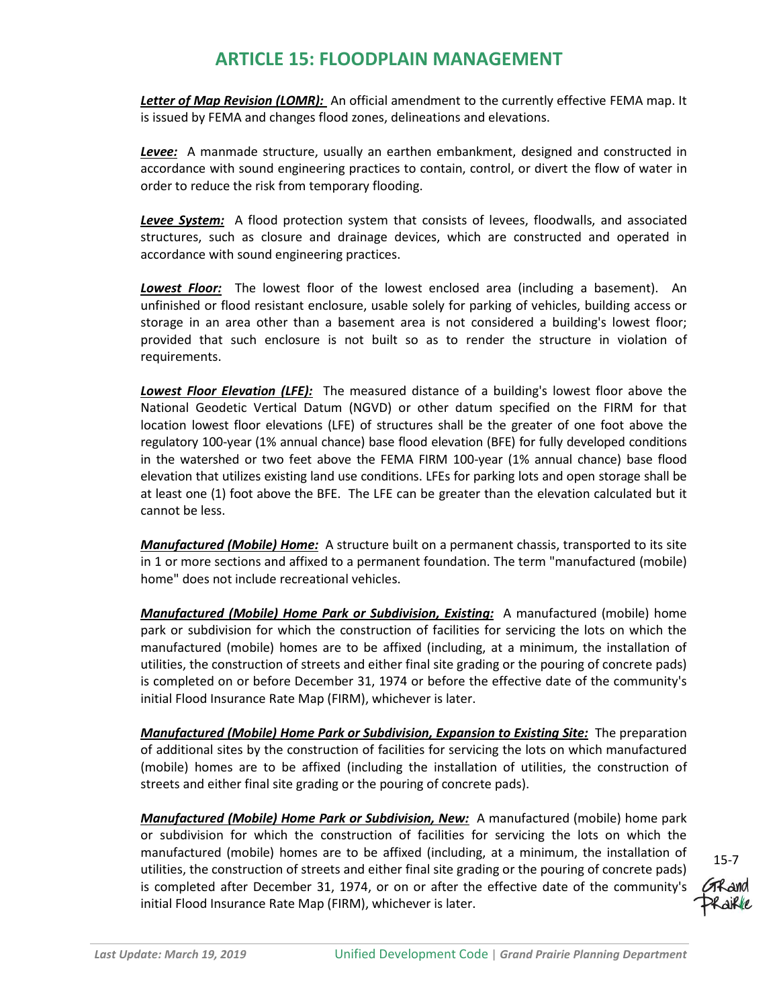*Letter of Map Revision (LOMR):* An official amendment to the currently effective FEMA map. It is issued by FEMA and changes flood zones, delineations and elevations.

*Levee:* A manmade structure, usually an earthen embankment, designed and constructed in accordance with sound engineering practices to contain, control, or divert the flow of water in order to reduce the risk from temporary flooding.

*Levee System:*A flood protection system that consists of levees, floodwalls, and associated structures, such as closure and drainage devices, which are constructed and operated in accordance with sound engineering practices.

*Lowest Floor:* The lowest floor of the lowest enclosed area (including a basement). An unfinished or flood resistant enclosure, usable solely for parking of vehicles, building access or storage in an area other than a basement area is not considered a building's lowest floor; provided that such enclosure is not built so as to render the structure in violation of requirements.

*Lowest Floor Elevation (LFE):* The measured distance of a building's lowest floor above the National Geodetic Vertical Datum (NGVD) or other datum specified on the FIRM for that location lowest floor elevations (LFE) of structures shall be the greater of one foot above the regulatory 100-year (1% annual chance) base flood elevation (BFE) for fully developed conditions in the watershed or two feet above the FEMA FIRM 100-year (1% annual chance) base flood elevation that utilizes existing land use conditions. LFEs for parking lots and open storage shall be at least one (1) foot above the BFE. The LFE can be greater than the elevation calculated but it cannot be less.

*Manufactured (Mobile) Home:* A structure built on a permanent chassis, transported to its site in 1 or more sections and affixed to a permanent foundation. The term "manufactured (mobile) home" does not include recreational vehicles.

*Manufactured (Mobile) Home Park or Subdivision, Existing:* A manufactured (mobile) home park or subdivision for which the construction of facilities for servicing the lots on which the manufactured (mobile) homes are to be affixed (including, at a minimum, the installation of utilities, the construction of streets and either final site grading or the pouring of concrete pads) is completed on or before December 31, 1974 or before the effective date of the community's initial Flood Insurance Rate Map (FIRM), whichever is later.

*Manufactured (Mobile) Home Park or Subdivision, Expansion to Existing Site:* The preparation of additional sites by the construction of facilities for servicing the lots on which manufactured (mobile) homes are to be affixed (including the installation of utilities, the construction of streets and either final site grading or the pouring of concrete pads).

*Manufactured (Mobile) Home Park or Subdivision, New:* A manufactured (mobile) home park or subdivision for which the construction of facilities for servicing the lots on which the manufactured (mobile) homes are to be affixed (including, at a minimum, the installation of utilities, the construction of streets and either final site grading or the pouring of concrete pads) is completed after December 31, 1974, or on or after the effective date of the community's initial Flood Insurance Rate Map (FIRM), whichever is later.

15-7 *G***rkand**<br>Praikke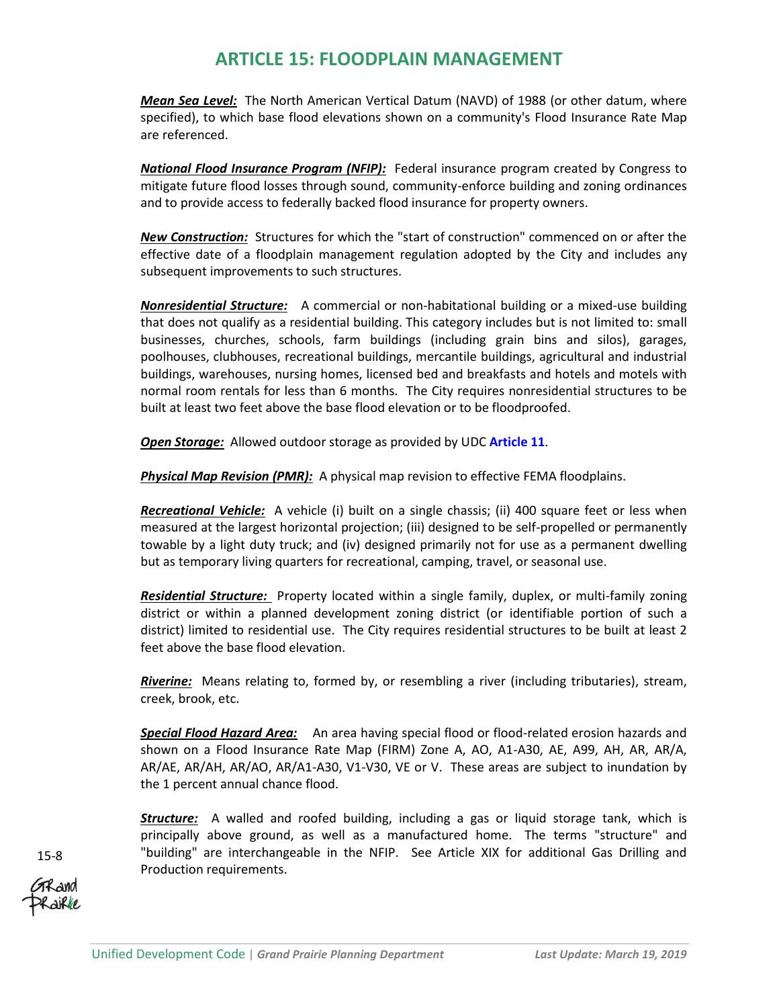*Mean Sea Level:* The North American Vertical Datum (NAVD) of 1988 (or other datum, where specified), to which base flood elevations shown on a community's Flood Insurance Rate Map are referenced.

**National Flood Insurance Program (NFIP):** Federal insurance program created by Congress to mitigate future flood losses through sound, community-enforce building and zoning ordinances and to provide access to federally backed flood insurance for property owners.

*New Construction:*Structures for which the "start of construction" commenced on or after the effective date of a floodplain management regulation adopted by the City and includes any subsequent improvements to such structures.

*Nonresidential Structure:* A commercial or non-habitational building or a mixed-use building that does not qualify as a residential building. This category includes but is not limited to: small businesses, churches, schools, farm buildings (including grain bins and silos), garages, poolhouses, clubhouses, recreational buildings, mercantile buildings, agricultural and industrial buildings, warehouses, nursing homes, licensed bed and breakfasts and hotels and motels with normal room rentals for less than 6 months. The City requires nonresidential structures to be built at least two feet above the base flood elevation or to be floodproofed.

*Open Storage:* Allowed outdoor storage as provided by UDC **Article 11**.

*Physical Map Revision (PMR):* A physical map revision to effective FEMA floodplains.

*Recreational Vehicle:* A vehicle (i) built on a single chassis; (ii) 400 square feet or less when measured at the largest horizontal projection; (iii) designed to be self-propelled or permanently towable by a light duty truck; and (iv) designed primarily not for use as a permanent dwelling but as temporary living quarters for recreational, camping, travel, or seasonal use.

*Residential Structure:* Property located within a single family, duplex, or multi-family zoning district or within a planned development zoning district (or identifiable portion of such a district) limited to residential use. The City requires residential structures to be built at least 2 feet above the base flood elevation.

*Riverine:* Means relating to, formed by, or resembling a river (including tributaries), stream, creek, brook, etc.

*Special Flood Hazard Area:* An area having special flood or flood-related erosion hazards and shown on a Flood Insurance Rate Map (FIRM) Zone A, AO, A1-A30, AE, A99, AH, AR, AR/A, AR/AE, AR/AH, AR/AO, AR/A1-A30, V1-V30, VE or V. These areas are subject to inundation by the 1 percent annual chance flood.

*Structure:* A walled and roofed building, including a gas or liquid storage tank, which is principally above ground, as well as a manufactured home. The terms "structure" and "building" are interchangeable in the NFIP. See Article XIX for additional Gas Drilling and Production requirements.

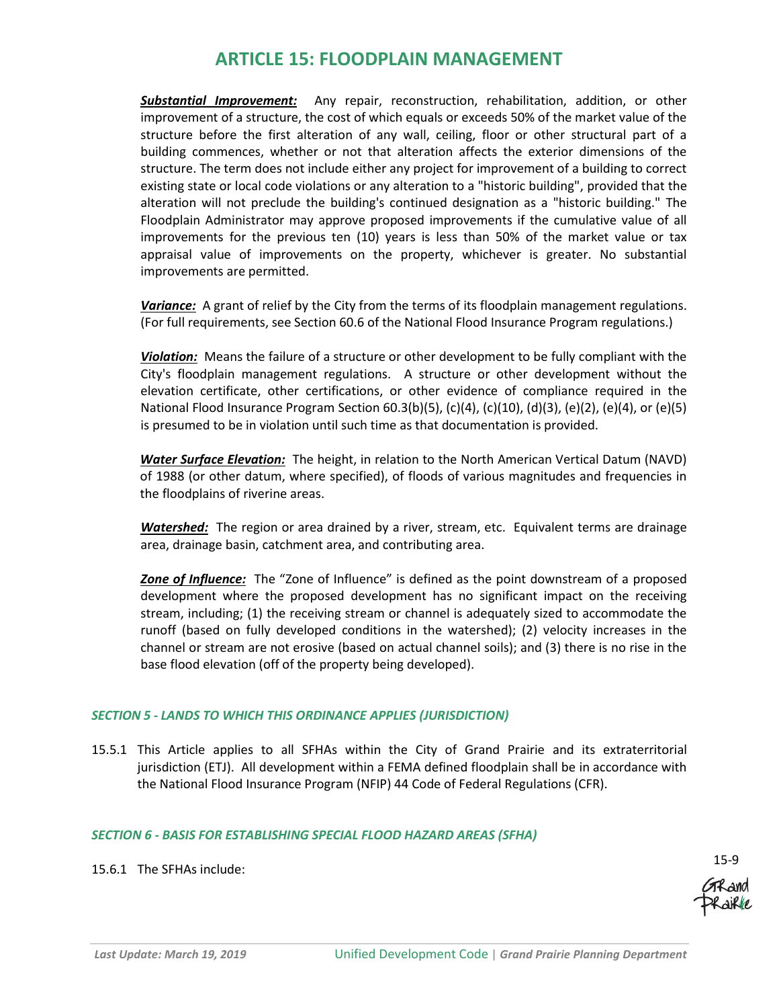*Substantial Improvement:*Any repair, reconstruction, rehabilitation, addition, or other improvement of a structure, the cost of which equals or exceeds 50% of the market value of the structure before the first alteration of any wall, ceiling, floor or other structural part of a building commences, whether or not that alteration affects the exterior dimensions of the structure. The term does not include either any project for improvement of a building to correct existing state or local code violations or any alteration to a "historic building", provided that the alteration will not preclude the building's continued designation as a "historic building." The Floodplain Administrator may approve proposed improvements if the cumulative value of all improvements for the previous ten (10) years is less than 50% of the market value or tax appraisal value of improvements on the property, whichever is greater. No substantial improvements are permitted.

*Variance:* A grant of relief by the City from the terms of its floodplain management regulations. (For full requirements, see Section 60.6 of the National Flood Insurance Program regulations.)

*Violation:* Means the failure of a structure or other development to be fully compliant with the City's floodplain management regulations. A structure or other development without the elevation certificate, other certifications, or other evidence of compliance required in the National Flood Insurance Program Section 60.3(b)(5), (c)(4), (c)(10), (d)(3), (e)(2), (e)(4), or (e)(5) is presumed to be in violation until such time as that documentation is provided.

*Water Surface Elevation:*The height, in relation to the North American Vertical Datum (NAVD) of 1988 (or other datum, where specified), of floods of various magnitudes and frequencies in the floodplains of riverine areas.

*Watershed:* The region or area drained by a river, stream, etc. Equivalent terms are drainage area, drainage basin, catchment area, and contributing area.

*Zone of Influence:* The "Zone of Influence" is defined as the point downstream of a proposed development where the proposed development has no significant impact on the receiving stream, including; (1) the receiving stream or channel is adequately sized to accommodate the runoff (based on fully developed conditions in the watershed); (2) velocity increases in the channel or stream are not erosive (based on actual channel soils); and (3) there is no rise in the base flood elevation (off of the property being developed).

## *SECTION 5 - LANDS TO WHICH THIS ORDINANCE APPLIES (JURISDICTION)*

15.5.1 This Article applies to all SFHAs within the City of Grand Prairie and its extraterritorial jurisdiction (ETJ). All development within a FEMA defined floodplain shall be in accordance with the National Flood Insurance Program (NFIP) 44 Code of Federal Regulations (CFR).

## *SECTION 6 - BASIS FOR ESTABLISHING SPECIAL FLOOD HAZARD AREAS (SFHA)*

15.6.1 The SFHAs include: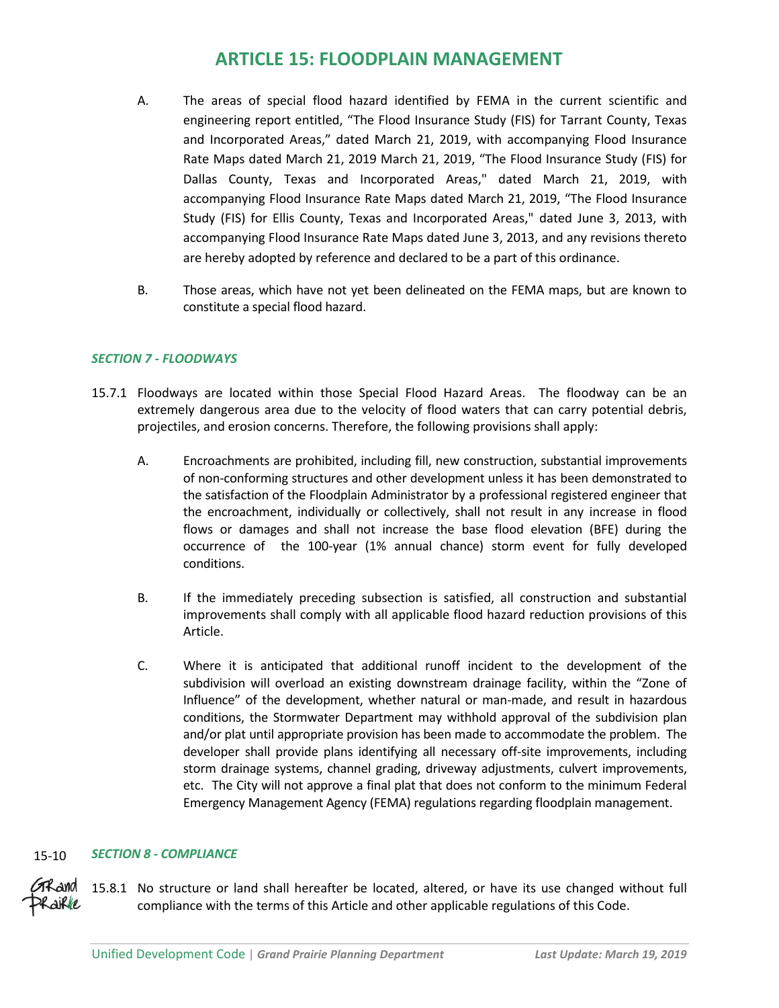- A. The areas of special flood hazard identified by FEMA in the current scientific and engineering report entitled, "The Flood Insurance Study (FIS) for Tarrant County, Texas and Incorporated Areas," dated March 21, 2019, with accompanying Flood Insurance Rate Maps dated March 21, 2019 March 21, 2019, "The Flood Insurance Study (FIS) for Dallas County, Texas and Incorporated Areas," dated March 21, 2019, with accompanying Flood Insurance Rate Maps dated March 21, 2019, "The Flood Insurance Study (FIS) for Ellis County, Texas and Incorporated Areas," dated June 3, 2013, with accompanying Flood Insurance Rate Maps dated June 3, 2013, and any revisions thereto are hereby adopted by reference and declared to be a part of this ordinance.
- B. Those areas, which have not yet been delineated on the FEMA maps, but are known to constitute a special flood hazard.

## *SECTION 7 - FLOODWAYS*

- 15.7.1 Floodways are located within those Special Flood Hazard Areas. The floodway can be an extremely dangerous area due to the velocity of flood waters that can carry potential debris, projectiles, and erosion concerns. Therefore, the following provisions shall apply:
	- A. Encroachments are prohibited, including fill, new construction, substantial improvements of non-conforming structures and other development unless it has been demonstrated to the satisfaction of the Floodplain Administrator by a professional registered engineer that the encroachment, individually or collectively, shall not result in any increase in flood flows or damages and shall not increase the base flood elevation (BFE) during the occurrence of the 100-year (1% annual chance) storm event for fully developed conditions.
	- B. If the immediately preceding subsection is satisfied, all construction and substantial improvements shall comply with all applicable flood hazard reduction provisions of this Article.
	- C. Where it is anticipated that additional runoff incident to the development of the subdivision will overload an existing downstream drainage facility, within the "Zone of Influence" of the development, whether natural or man-made, and result in hazardous conditions, the Stormwater Department may withhold approval of the subdivision plan and/or plat until appropriate provision has been made to accommodate the problem. The developer shall provide plans identifying all necessary off-site improvements, including storm drainage systems, channel grading, driveway adjustments, culvert improvements, etc. The City will not approve a final plat that does not conform to the minimum Federal Emergency Management Agency (FEMA) regulations regarding floodplain management.

#### 15-10 *SECTION 8 - COMPLIANCE*

15.8.1 No structure or land shall hereafter be located, altered, or have its use changed without full compliance with the terms of this Article and other applicable regulations of this Code.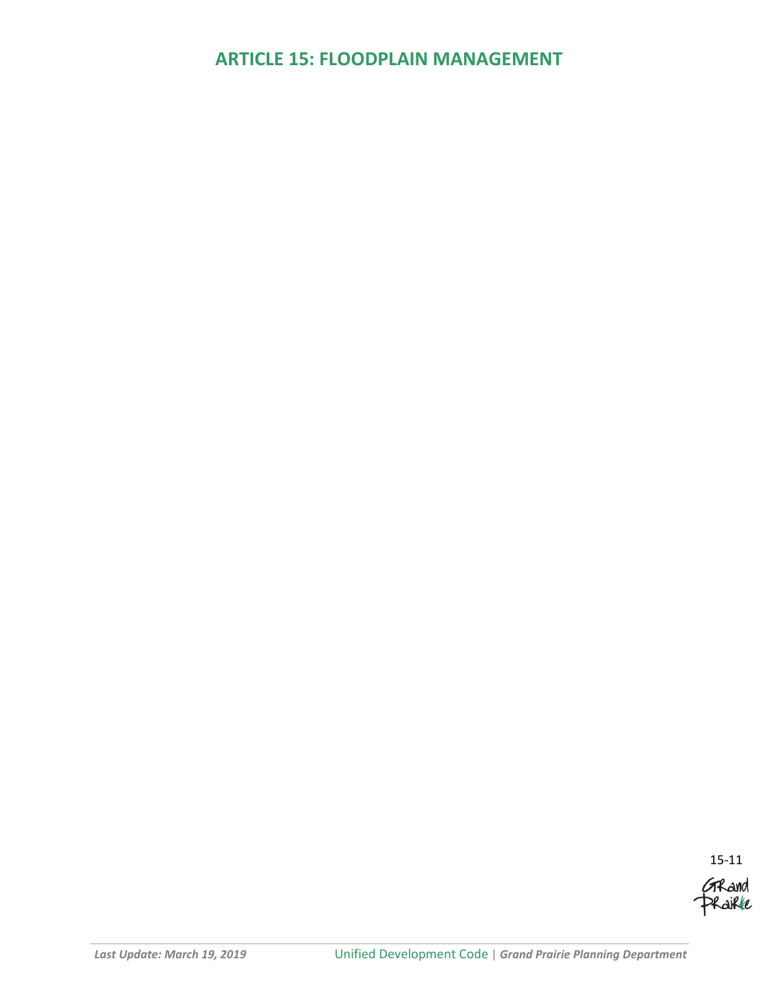

15-11<br>GRand<br>PRaikle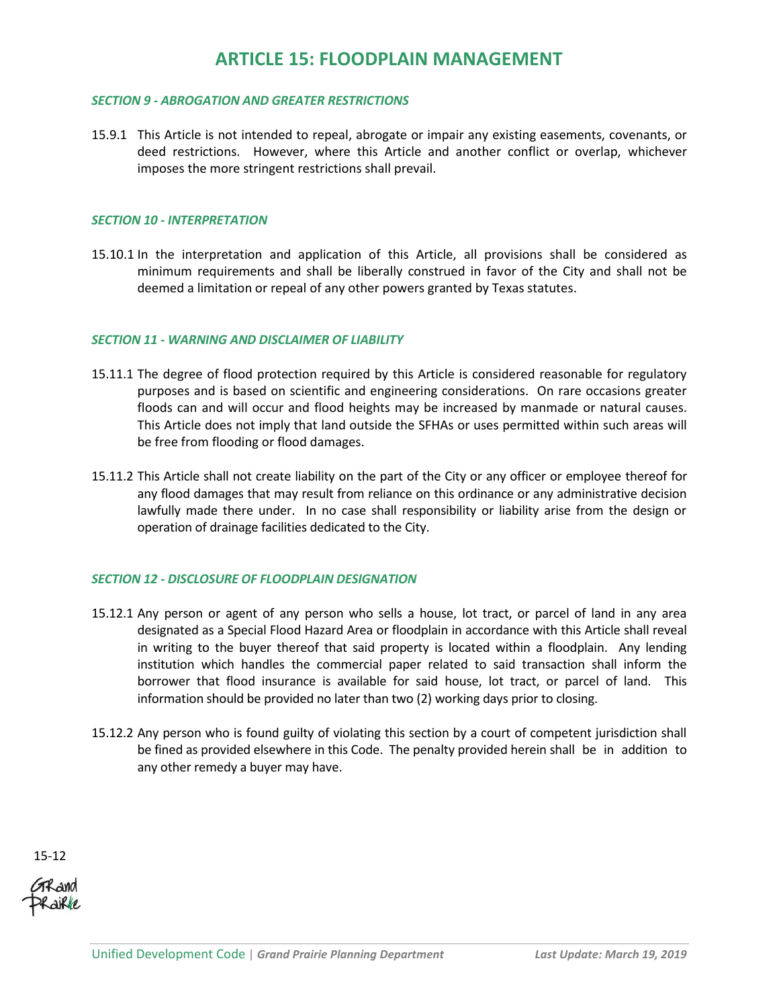#### *SECTION 9 - ABROGATION AND GREATER RESTRICTIONS*

15.9.1 This Article is not intended to repeal, abrogate or impair any existing easements, covenants, or deed restrictions. However, where this Article and another conflict or overlap, whichever imposes the more stringent restrictions shall prevail.

#### *SECTION 10 - INTERPRETATION*

15.10.1 In the interpretation and application of this Article, all provisions shall be considered as minimum requirements and shall be liberally construed in favor of the City and shall not be deemed a limitation or repeal of any other powers granted by Texas statutes.

#### *SECTION 11 - WARNING AND DISCLAIMER OF LIABILITY*

- 15.11.1 The degree of flood protection required by this Article is considered reasonable for regulatory purposes and is based on scientific and engineering considerations. On rare occasions greater floods can and will occur and flood heights may be increased by manmade or natural causes. This Article does not imply that land outside the SFHAs or uses permitted within such areas will be free from flooding or flood damages.
- 15.11.2 This Article shall not create liability on the part of the City or any officer or employee thereof for any flood damages that may result from reliance on this ordinance or any administrative decision lawfully made there under. In no case shall responsibility or liability arise from the design or operation of drainage facilities dedicated to the City.

#### *SECTION 12 - DISCLOSURE OF FLOODPLAIN DESIGNATION*

- 15.12.1 Any person or agent of any person who sells a house, lot tract, or parcel of land in any area designated as a Special Flood Hazard Area or floodplain in accordance with this Article shall reveal in writing to the buyer thereof that said property is located within a floodplain. Any lending institution which handles the commercial paper related to said transaction shall inform the borrower that flood insurance is available for said house, lot tract, or parcel of land. This information should be provided no later than two (2) working days prior to closing.
- 15.12.2 Any person who is found guilty of violating this section by a court of competent jurisdiction shall be fined as provided elsewhere in this Code. The penalty provided herein shall be in addition to any other remedy a buyer may have.

15-12

GRand<br>PRaikke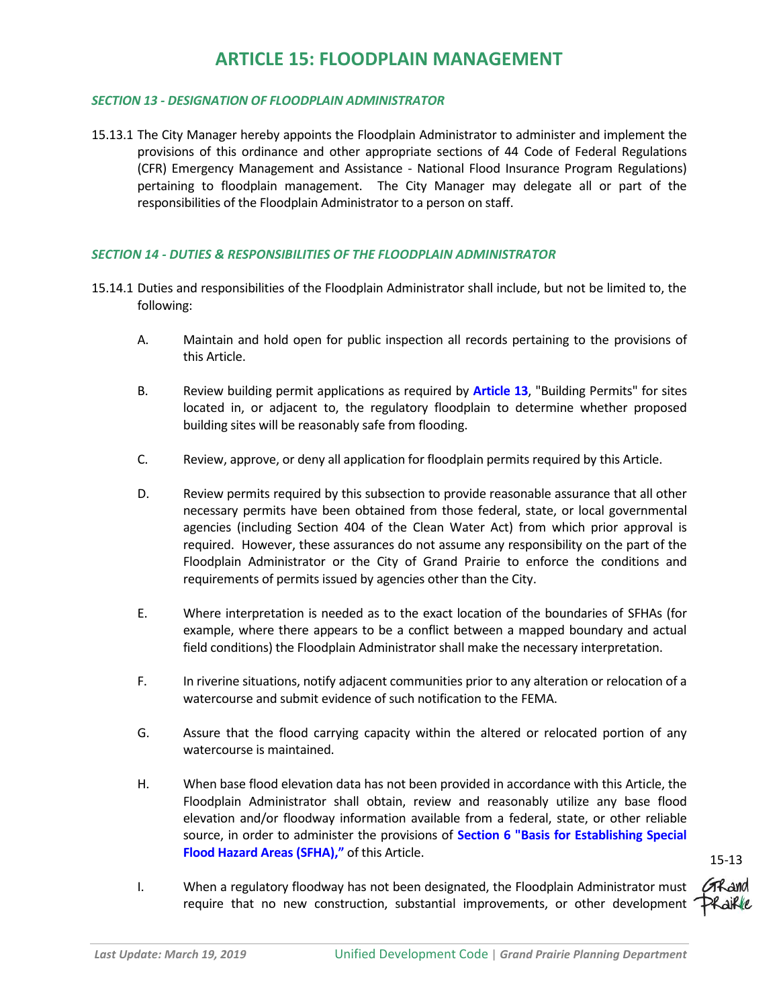#### *SECTION 13 - DESIGNATION OF FLOODPLAIN ADMINISTRATOR*

15.13.1 The City Manager hereby appoints the Floodplain Administrator to administer and implement the provisions of this ordinance and other appropriate sections of 44 Code of Federal Regulations (CFR) Emergency Management and Assistance - National Flood Insurance Program Regulations) pertaining to floodplain management. The City Manager may delegate all or part of the responsibilities of the Floodplain Administrator to a person on staff.

#### *SECTION 14 - DUTIES & RESPONSIBILITIES OF THE FLOODPLAIN ADMINISTRATOR*

- 15.14.1 Duties and responsibilities of the Floodplain Administrator shall include, but not be limited to, the following:
	- A. Maintain and hold open for public inspection all records pertaining to the provisions of this Article.
	- B. Review building permit applications as required by **Article 13**, "Building Permits" for sites located in, or adjacent to, the regulatory floodplain to determine whether proposed building sites will be reasonably safe from flooding.
	- C. Review, approve, or deny all application for floodplain permits required by this Article.
	- D. Review permits required by this subsection to provide reasonable assurance that all other necessary permits have been obtained from those federal, state, or local governmental agencies (including Section 404 of the Clean Water Act) from which prior approval is required. However, these assurances do not assume any responsibility on the part of the Floodplain Administrator or the City of Grand Prairie to enforce the conditions and requirements of permits issued by agencies other than the City.
	- E. Where interpretation is needed as to the exact location of the boundaries of SFHAs (for example, where there appears to be a conflict between a mapped boundary and actual field conditions) the Floodplain Administrator shall make the necessary interpretation.
	- F. In riverine situations, notify adjacent communities prior to any alteration or relocation of a watercourse and submit evidence of such notification to the FEMA.
	- G. Assure that the flood carrying capacity within the altered or relocated portion of any watercourse is maintained.
	- H. When base flood elevation data has not been provided in accordance with this Article, the Floodplain Administrator shall obtain, review and reasonably utilize any base flood elevation and/or floodway information available from a federal, state, or other reliable source, in order to administer the provisions of **Section 6 "Basis for Establishing Special Flood Hazard Areas (SFHA),"** of this Article.
	- I. When a regulatory floodway has not been designated, the Floodplain Administrator must require that no new construction, substantial improvements, or other development

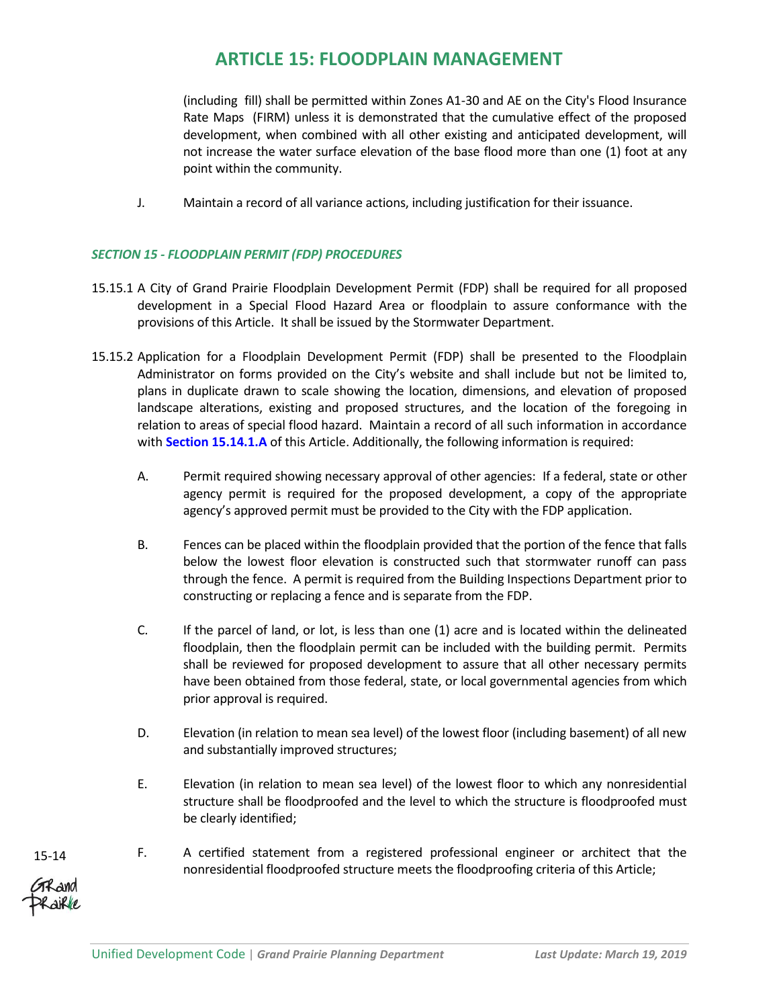(including fill) shall be permitted within Zones A1-30 and AE on the City's Flood Insurance Rate Maps (FIRM) unless it is demonstrated that the cumulative effect of the proposed development, when combined with all other existing and anticipated development, will not increase the water surface elevation of the base flood more than one (1) foot at any point within the community.

J. Maintain a record of all variance actions, including justification for their issuance.

#### *SECTION 15 - FLOODPLAIN PERMIT (FDP) PROCEDURES*

- 15.15.1 A City of Grand Prairie Floodplain Development Permit (FDP) shall be required for all proposed development in a Special Flood Hazard Area or floodplain to assure conformance with the provisions of this Article. It shall be issued by the Stormwater Department.
- 15.15.2 Application for a Floodplain Development Permit (FDP) shall be presented to the Floodplain Administrator on forms provided on the City's website and shall include but not be limited to, plans in duplicate drawn to scale showing the location, dimensions, and elevation of proposed landscape alterations, existing and proposed structures, and the location of the foregoing in relation to areas of special flood hazard. Maintain a record of all such information in accordance with **Section 15.14.1.A** of this Article. Additionally, the following information is required:
	- A. Permit required showing necessary approval of other agencies: If a federal, state or other agency permit is required for the proposed development, a copy of the appropriate agency's approved permit must be provided to the City with the FDP application.
	- B. Fences can be placed within the floodplain provided that the portion of the fence that falls below the lowest floor elevation is constructed such that stormwater runoff can pass through the fence. A permit is required from the Building Inspections Department prior to constructing or replacing a fence and is separate from the FDP.
	- C. If the parcel of land, or lot, is less than one (1) acre and is located within the delineated floodplain, then the floodplain permit can be included with the building permit. Permits shall be reviewed for proposed development to assure that all other necessary permits have been obtained from those federal, state, or local governmental agencies from which prior approval is required.
	- D. Elevation (in relation to mean sea level) of the lowest floor (including basement) of all new and substantially improved structures;
	- E. Elevation (in relation to mean sea level) of the lowest floor to which any nonresidential structure shall be floodproofed and the level to which the structure is floodproofed must be clearly identified;
	- F. A certified statement from a registered professional engineer or architect that the nonresidential floodproofed structure meets the floodproofing criteria of this Article;

GRand<br>PRaikke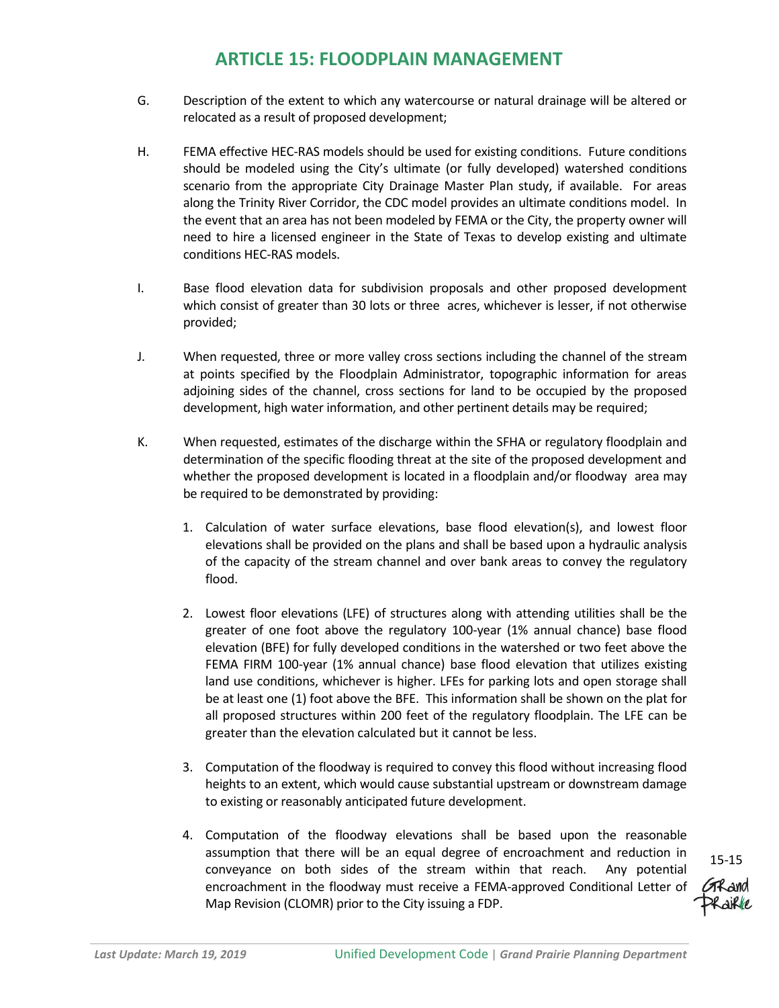- G. Description of the extent to which any watercourse or natural drainage will be altered or relocated as a result of proposed development;
- H. FEMA effective HEC-RAS models should be used for existing conditions. Future conditions should be modeled using the City's ultimate (or fully developed) watershed conditions scenario from the appropriate City Drainage Master Plan study, if available. For areas along the Trinity River Corridor, the CDC model provides an ultimate conditions model. In the event that an area has not been modeled by FEMA or the City, the property owner will need to hire a licensed engineer in the State of Texas to develop existing and ultimate conditions HEC-RAS models.
- I. Base flood elevation data for subdivision proposals and other proposed development which consist of greater than 30 lots or three acres, whichever is lesser, if not otherwise provided;
- J. When requested, three or more valley cross sections including the channel of the stream at points specified by the Floodplain Administrator, topographic information for areas adjoining sides of the channel, cross sections for land to be occupied by the proposed development, high water information, and other pertinent details may be required;
- K. When requested, estimates of the discharge within the SFHA or regulatory floodplain and determination of the specific flooding threat at the site of the proposed development and whether the proposed development is located in a floodplain and/or floodway area may be required to be demonstrated by providing:
	- 1. Calculation of water surface elevations, base flood elevation(s), and lowest floor elevations shall be provided on the plans and shall be based upon a hydraulic analysis of the capacity of the stream channel and over bank areas to convey the regulatory flood.
	- 2. Lowest floor elevations (LFE) of structures along with attending utilities shall be the greater of one foot above the regulatory 100-year (1% annual chance) base flood elevation (BFE) for fully developed conditions in the watershed or two feet above the FEMA FIRM 100-year (1% annual chance) base flood elevation that utilizes existing land use conditions, whichever is higher. LFEs for parking lots and open storage shall be at least one (1) foot above the BFE. This information shall be shown on the plat for all proposed structures within 200 feet of the regulatory floodplain. The LFE can be greater than the elevation calculated but it cannot be less.
	- 3. Computation of the floodway is required to convey this flood without increasing flood heights to an extent, which would cause substantial upstream or downstream damage to existing or reasonably anticipated future development.
	- 4. Computation of the floodway elevations shall be based upon the reasonable assumption that there will be an equal degree of encroachment and reduction in conveyance on both sides of the stream within that reach. Any potential encroachment in the floodway must receive a FEMA-approved Conditional Letter of Map Revision (CLOMR) prior to the City issuing a FDP.

15-15 GRand<br>PRaikle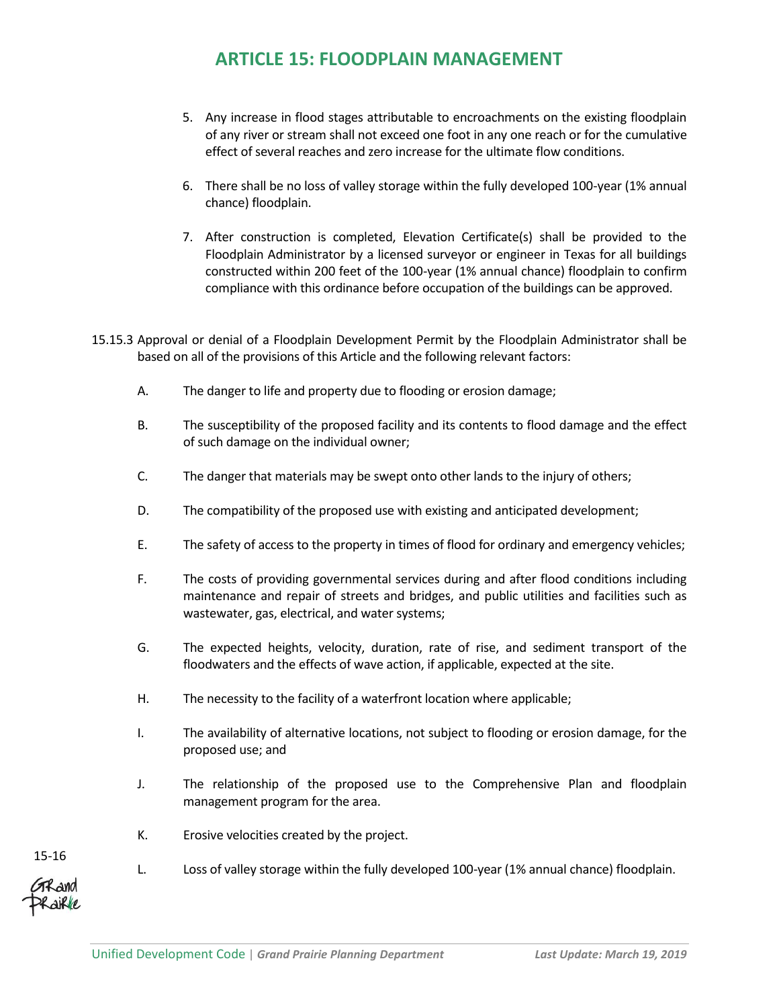- 5. Any increase in flood stages attributable to encroachments on the existing floodplain of any river or stream shall not exceed one foot in any one reach or for the cumulative effect of several reaches and zero increase for the ultimate flow conditions.
- 6. There shall be no loss of valley storage within the fully developed 100-year (1% annual chance) floodplain.
- 7. After construction is completed, Elevation Certificate(s) shall be provided to the Floodplain Administrator by a licensed surveyor or engineer in Texas for all buildings constructed within 200 feet of the 100-year (1% annual chance) floodplain to confirm compliance with this ordinance before occupation of the buildings can be approved.
- 15.15.3 Approval or denial of a Floodplain Development Permit by the Floodplain Administrator shall be based on all of the provisions of this Article and the following relevant factors:
	- A. The danger to life and property due to flooding or erosion damage;
	- B. The susceptibility of the proposed facility and its contents to flood damage and the effect of such damage on the individual owner;
	- C. The danger that materials may be swept onto other lands to the injury of others;
	- D. The compatibility of the proposed use with existing and anticipated development;
	- E. The safety of access to the property in times of flood for ordinary and emergency vehicles;
	- F. The costs of providing governmental services during and after flood conditions including maintenance and repair of streets and bridges, and public utilities and facilities such as wastewater, gas, electrical, and water systems;
	- G. The expected heights, velocity, duration, rate of rise, and sediment transport of the floodwaters and the effects of wave action, if applicable, expected at the site.
	- H. The necessity to the facility of a waterfront location where applicable;
	- I. The availability of alternative locations, not subject to flooding or erosion damage, for the proposed use; and
	- J. The relationship of the proposed use to the Comprehensive Plan and floodplain management program for the area.
	- K. Erosive velocities created by the project.
- 15-16
- 
- L. Loss of valley storage within the fully developed 100-year (1% annual chance) floodplain.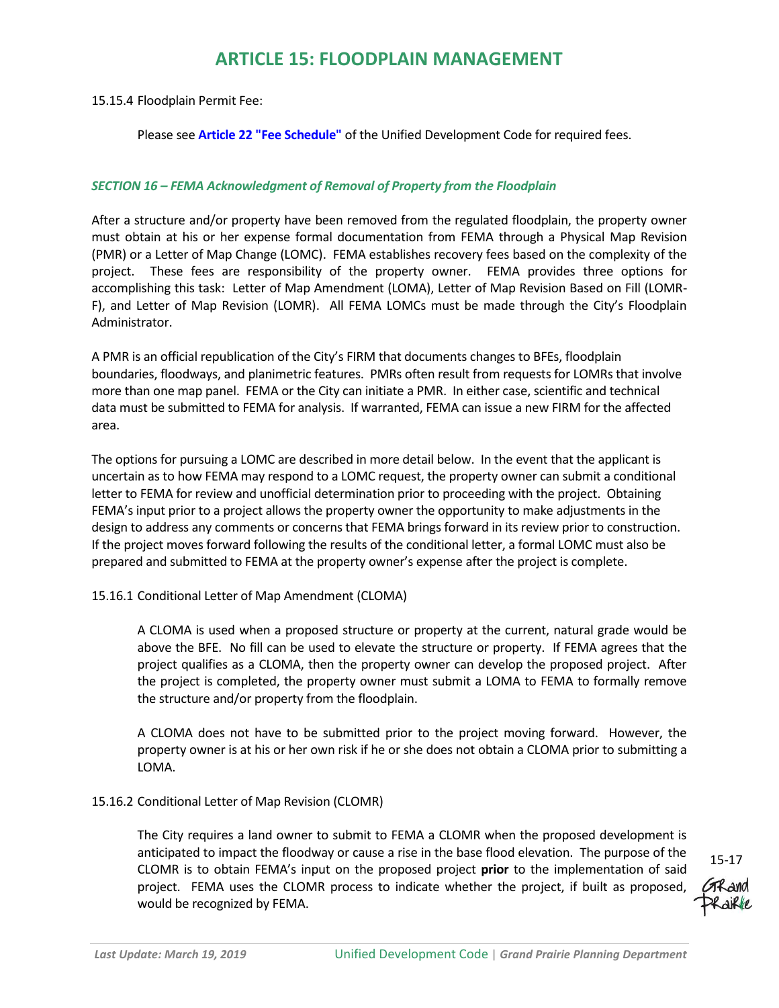#### 15.15.4 Floodplain Permit Fee:

Please see **Article 22 "Fee Schedule"** of the Unified Development Code for required fees.

#### *SECTION 16 – FEMA Acknowledgment of Removal of Property from the Floodplain*

After a structure and/or property have been removed from the regulated floodplain, the property owner must obtain at his or her expense formal documentation from FEMA through a Physical Map Revision (PMR) or a Letter of Map Change (LOMC). FEMA establishes recovery fees based on the complexity of the project. These fees are responsibility of the property owner. FEMA provides three options for accomplishing this task: Letter of Map Amendment (LOMA), Letter of Map Revision Based on Fill (LOMR-F), and Letter of Map Revision (LOMR). All FEMA LOMCs must be made through the City's Floodplain Administrator.

A PMR is an official republication of the City's FIRM that documents changes to BFEs, floodplain boundaries, floodways, and planimetric features. PMRs often result from requests for LOMRs that involve more than one map panel. FEMA or the City can initiate a PMR. In either case, scientific and technical data must be submitted to FEMA for analysis. If warranted, FEMA can issue a new FIRM for the affected area.

The options for pursuing a LOMC are described in more detail below. In the event that the applicant is uncertain as to how FEMA may respond to a LOMC request, the property owner can submit a conditional letter to FEMA for review and unofficial determination prior to proceeding with the project. Obtaining FEMA's input prior to a project allows the property owner the opportunity to make adjustments in the design to address any comments or concerns that FEMA brings forward in its review prior to construction. If the project moves forward following the results of the conditional letter, a formal LOMC must also be prepared and submitted to FEMA at the property owner's expense after the project is complete.

#### 15.16.1 Conditional Letter of Map Amendment (CLOMA)

A CLOMA is used when a proposed structure or property at the current, natural grade would be above the BFE. No fill can be used to elevate the structure or property. If FEMA agrees that the project qualifies as a CLOMA, then the property owner can develop the proposed project. After the project is completed, the property owner must submit a LOMA to FEMA to formally remove the structure and/or property from the floodplain.

A CLOMA does not have to be submitted prior to the project moving forward. However, the property owner is at his or her own risk if he or she does not obtain a CLOMA prior to submitting a LOMA.

#### 15.16.2 Conditional Letter of Map Revision (CLOMR)

The City requires a land owner to submit to FEMA a CLOMR when the proposed development is anticipated to impact the floodway or cause a rise in the base flood elevation. The purpose of the CLOMR is to obtain FEMA's input on the proposed project **prior** to the implementation of said project. FEMA uses the CLOMR process to indicate whether the project, if built as proposed, would be recognized by FEMA.

15-17 GRand<br>PRaikke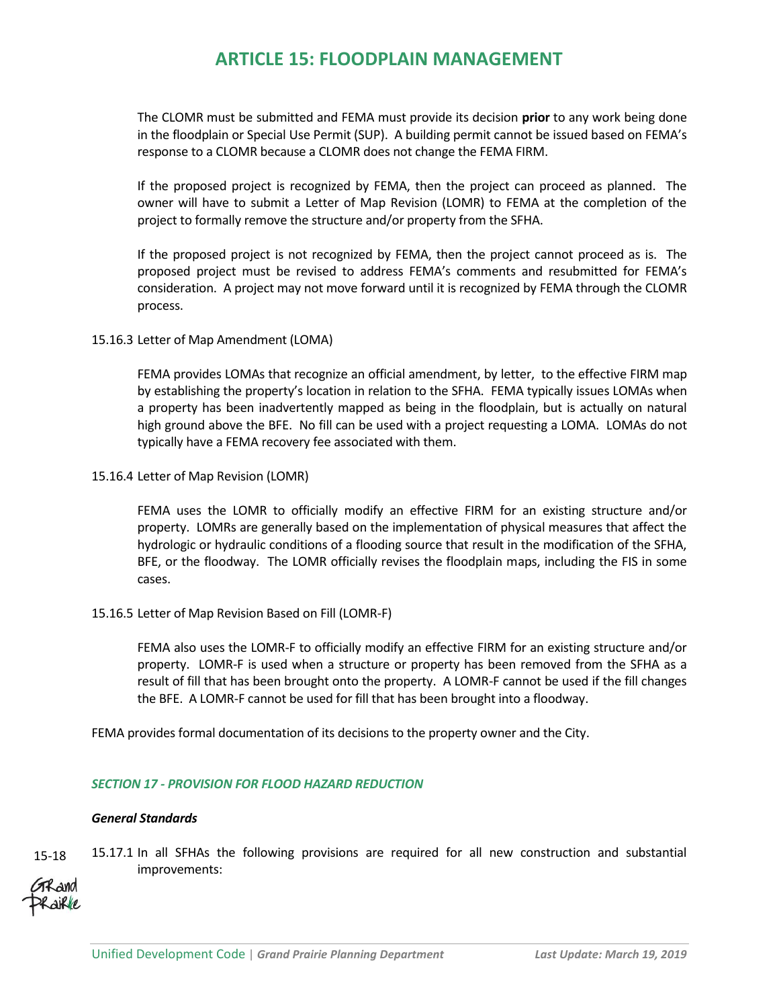The CLOMR must be submitted and FEMA must provide its decision **prior** to any work being done in the floodplain or Special Use Permit (SUP). A building permit cannot be issued based on FEMA's response to a CLOMR because a CLOMR does not change the FEMA FIRM.

If the proposed project is recognized by FEMA, then the project can proceed as planned. The owner will have to submit a Letter of Map Revision (LOMR) to FEMA at the completion of the project to formally remove the structure and/or property from the SFHA.

If the proposed project is not recognized by FEMA, then the project cannot proceed as is. The proposed project must be revised to address FEMA's comments and resubmitted for FEMA's consideration. A project may not move forward until it is recognized by FEMA through the CLOMR process.

#### 15.16.3 Letter of Map Amendment (LOMA)

FEMA provides LOMAs that recognize an official amendment, by letter, to the effective FIRM map by establishing the property's location in relation to the SFHA. FEMA typically issues LOMAs when a property has been inadvertently mapped as being in the floodplain, but is actually on natural high ground above the BFE. No fill can be used with a project requesting a LOMA. LOMAs do not typically have a FEMA recovery fee associated with them.

15.16.4 Letter of Map Revision (LOMR)

FEMA uses the LOMR to officially modify an effective FIRM for an existing structure and/or property. LOMRs are generally based on the implementation of physical measures that affect the hydrologic or hydraulic conditions of a flooding source that result in the modification of the SFHA, BFE, or the floodway. The LOMR officially revises the floodplain maps, including the FIS in some cases.

15.16.5 Letter of Map Revision Based on Fill (LOMR-F)

FEMA also uses the LOMR-F to officially modify an effective FIRM for an existing structure and/or property. LOMR-F is used when a structure or property has been removed from the SFHA as a result of fill that has been brought onto the property. A LOMR-F cannot be used if the fill changes the BFE. A LOMR-F cannot be used for fill that has been brought into a floodway.

FEMA provides formal documentation of its decisions to the property owner and the City.

## *SECTION 17 - PROVISION FOR FLOOD HAZARD REDUCTION*

## *General Standards*

15-18 15.17.1 In all SFHAs the following provisions are required for all new construction and substantial improvements: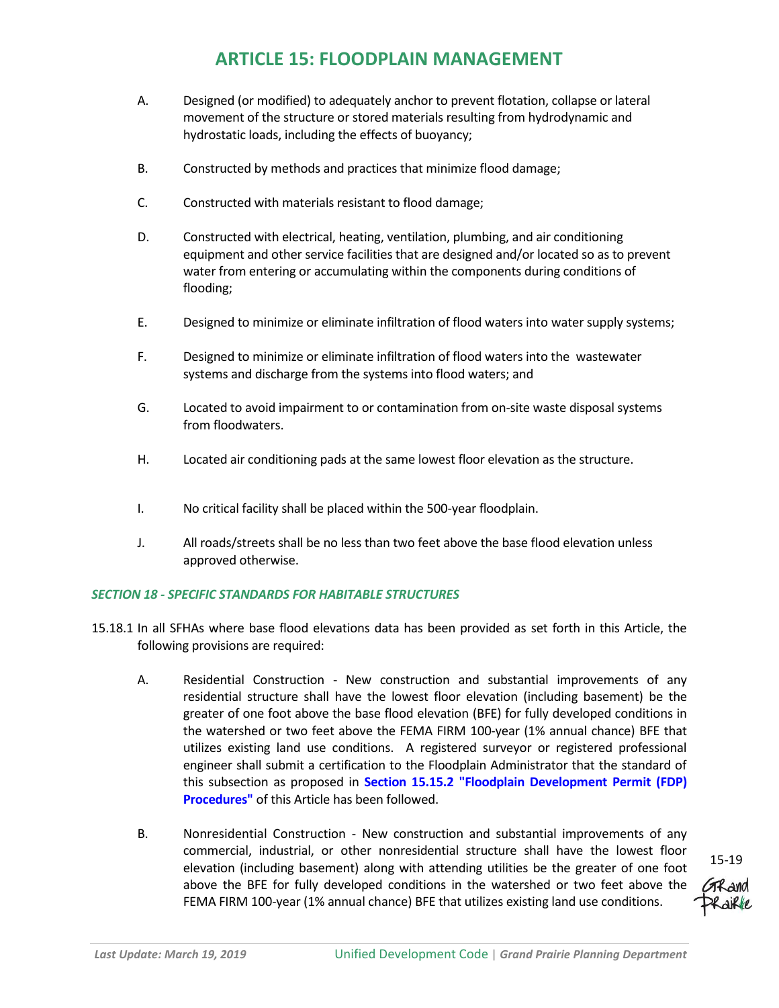- A. Designed (or modified) to adequately anchor to prevent flotation, collapse or lateral movement of the structure or stored materials resulting from hydrodynamic and hydrostatic loads, including the effects of buoyancy;
- B. Constructed by methods and practices that minimize flood damage;
- C. Constructed with materials resistant to flood damage;
- D. Constructed with electrical, heating, ventilation, plumbing, and air conditioning equipment and other service facilities that are designed and/or located so as to prevent water from entering or accumulating within the components during conditions of flooding;
- E. Designed to minimize or eliminate infiltration of flood waters into water supply systems;
- F. Designed to minimize or eliminate infiltration of flood waters into the wastewater systems and discharge from the systems into flood waters; and
- G. Located to avoid impairment to or contamination from on-site waste disposal systems from floodwaters.
- H. Located air conditioning pads at the same lowest floor elevation as the structure.
- I. No critical facility shall be placed within the 500-year floodplain.
- J. All roads/streets shall be no less than two feet above the base flood elevation unless approved otherwise.

## *SECTION 18 - SPECIFIC STANDARDS FOR HABITABLE STRUCTURES*

- 15.18.1 In all SFHAs where base flood elevations data has been provided as set forth in this Article, the following provisions are required:
	- A. Residential Construction New construction and substantial improvements of any residential structure shall have the lowest floor elevation (including basement) be the greater of one foot above the base flood elevation (BFE) for fully developed conditions in the watershed or two feet above the FEMA FIRM 100-year (1% annual chance) BFE that utilizes existing land use conditions. A registered surveyor or registered professional engineer shall submit a certification to the Floodplain Administrator that the standard of this subsection as proposed in **Section 15.15.2 "Floodplain Development Permit (FDP) Procedures"** of this Article has been followed.
	- B. Nonresidential Construction New construction and substantial improvements of any commercial, industrial, or other nonresidential structure shall have the lowest floor elevation (including basement) along with attending utilities be the greater of one foot above the BFE for fully developed conditions in the watershed or two feet above the FEMA FIRM 100-year (1% annual chance) BFE that utilizes existing land use conditions.

15-19 GRand<br>PRaikke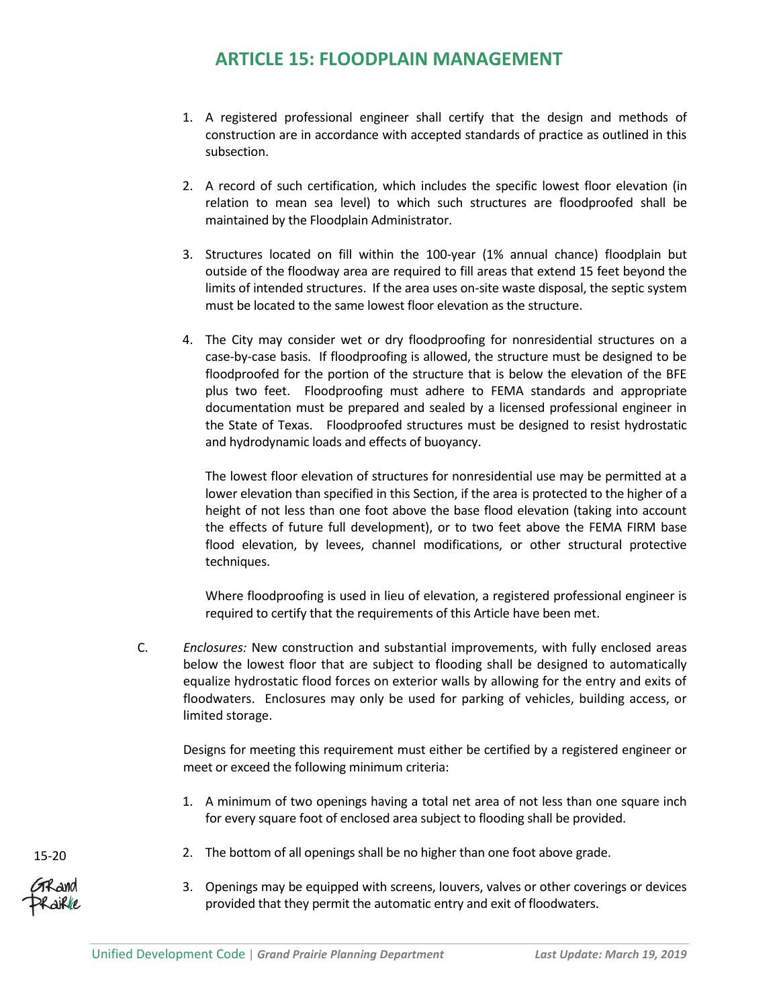- 1. A registered professional engineer shall certify that the design and methods of construction are in accordance with accepted standards of practice as outlined in this subsection.
- 2. A record of such certification, which includes the specific lowest floor elevation (in relation to mean sea level) to which such structures are floodproofed shall be maintained by the Floodplain Administrator.
- 3. Structures located on fill within the 100-year (1% annual chance) floodplain but outside of the floodway area are required to fill areas that extend 15 feet beyond the limits of intended structures. If the area uses on-site waste disposal, the septic system must be located to the same lowest floor elevation as the structure.
- 4. The City may consider wet or dry floodproofing for nonresidential structures on a case-by-case basis. If floodproofing is allowed, the structure must be designed to be floodproofed for the portion of the structure that is below the elevation of the BFE plus two feet. Floodproofing must adhere to FEMA standards and appropriate documentation must be prepared and sealed by a licensed professional engineer in the State of Texas. Floodproofed structures must be designed to resist hydrostatic and hydrodynamic loads and effects of buoyancy.

The lowest floor elevation of structures for nonresidential use may be permitted at a lower elevation than specified in this Section, if the area is protected to the higher of a height of not less than one foot above the base flood elevation (taking into account the effects of future full development), or to two feet above the FEMA FIRM base flood elevation, by levees, channel modifications, or other structural protective techniques.

Where floodproofing is used in lieu of elevation, a registered professional engineer is required to certify that the requirements of this Article have been met.

C. *Enclosures:* New construction and substantial improvements, with fully enclosed areas below the lowest floor that are subject to flooding shall be designed to automatically equalize hydrostatic flood forces on exterior walls by allowing for the entry and exits of floodwaters. Enclosures may only be used for parking of vehicles, building access, or limited storage.

Designs for meeting this requirement must either be certified by a registered engineer or meet or exceed the following minimum criteria:

- 1. A minimum of two openings having a total net area of not less than one square inch for every square foot of enclosed area subject to flooding shall be provided.
- 2. The bottom of all openings shall be no higher than one foot above grade.
- 3. Openings may be equipped with screens, louvers, valves or other coverings or devices provided that they permit the automatic entry and exit of floodwaters.

GRand<br>PRaiRle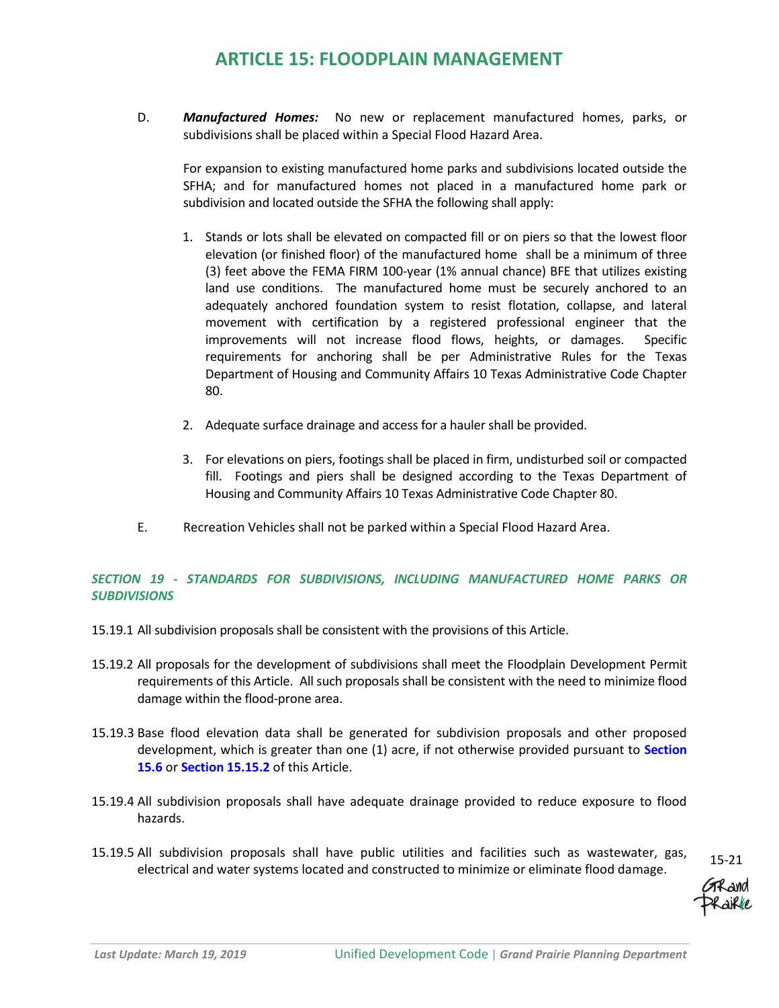D. *Manufactured Homes:* No new or replacement manufactured homes, parks, or subdivisions shall be placed within a Special Flood Hazard Area.

For expansion to existing manufactured home parks and subdivisions located outside the SFHA; and for manufactured homes not placed in a manufactured home park or subdivision and located outside the SFHA the following shall apply:

- 1. Stands or lots shall be elevated on compacted fill or on piers so that the lowest floor elevation (or finished floor) of the manufactured home shall be a minimum of three (3) feet above the FEMA FIRM 100-year (1% annual chance) BFE that utilizes existing land use conditions. The manufactured home must be securely anchored to an adequately anchored foundation system to resist flotation, collapse, and lateral movement with certification by a registered professional engineer that the improvements will not increase flood flows, heights, or damages. Specific requirements for anchoring shall be per Administrative Rules for the Texas Department of Housing and Community Affairs 10 Texas Administrative Code Chapter 80.
- 2. Adequate surface drainage and access for a hauler shall be provided.
- 3. For elevations on piers, footings shall be placed in firm, undisturbed soil or compacted fill. Footings and piers shall be designed according to the Texas Department of Housing and Community Affairs 10 Texas Administrative Code Chapter 80.
- E. Recreation Vehicles shall not be parked within a Special Flood Hazard Area.

## *SECTION 19 - STANDARDS FOR SUBDIVISIONS, INCLUDING MANUFACTURED HOME PARKS OR SUBDIVISIONS*

- 15.19.1 All subdivision proposals shall be consistent with the provisions of this Article.
- 15.19.2 All proposals for the development of subdivisions shall meet the Floodplain Development Permit requirements of this Article. All such proposals shall be consistent with the need to minimize flood damage within the flood-prone area.
- 15.19.3 Base flood elevation data shall be generated for subdivision proposals and other proposed development, which is greater than one (1) acre, if not otherwise provided pursuant to **Section 15.6** or **Section 15.15.2** of this Article.
- 15.19.4 All subdivision proposals shall have adequate drainage provided to reduce exposure to flood hazards.
- 15.19.5 All subdivision proposals shall have public utilities and facilities such as wastewater, gas, electrical and water systems located and constructed to minimize or eliminate flood damage.

.<br>Kaikke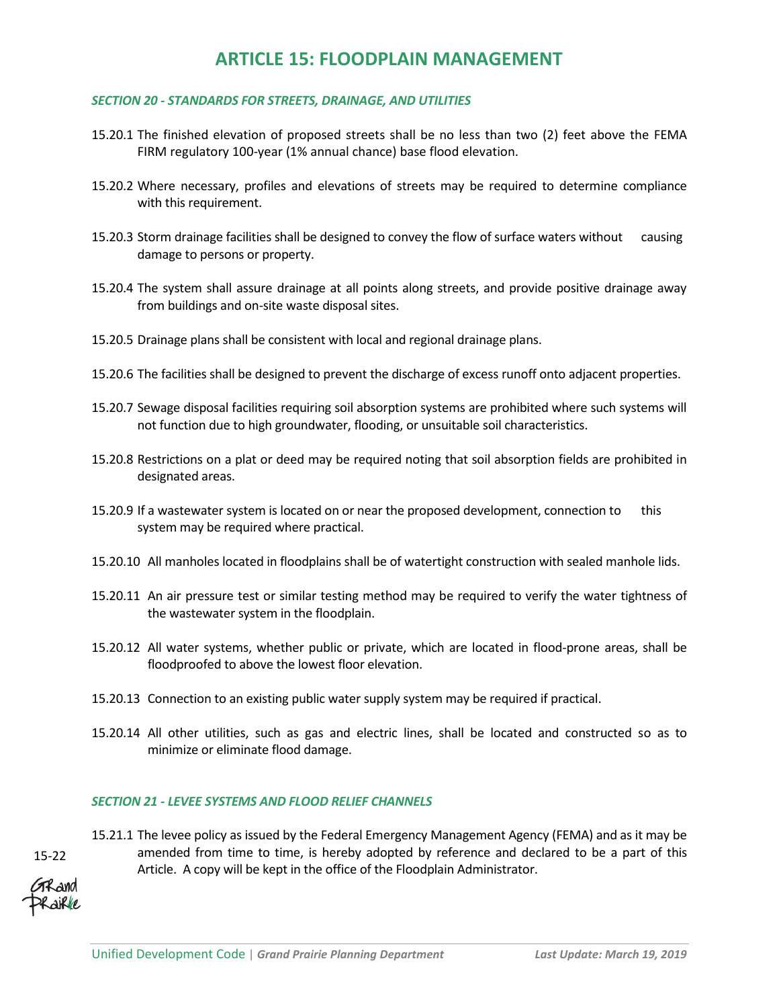## *SECTION 20 - STANDARDS FOR STREETS, DRAINAGE, AND UTILITIES*

- 15.20.1 The finished elevation of proposed streets shall be no less than two (2) feet above the FEMA FIRM regulatory 100-year (1% annual chance) base flood elevation.
- 15.20.2 Where necessary, profiles and elevations of streets may be required to determine compliance with this requirement.
- 15.20.3 Storm drainage facilities shall be designed to convey the flow of surface waters without causing damage to persons or property.
- 15.20.4 The system shall assure drainage at all points along streets, and provide positive drainage away from buildings and on-site waste disposal sites.
- 15.20.5 Drainage plans shall be consistent with local and regional drainage plans.
- 15.20.6 The facilities shall be designed to prevent the discharge of excess runoff onto adjacent properties.
- 15.20.7 Sewage disposal facilities requiring soil absorption systems are prohibited where such systems will not function due to high groundwater, flooding, or unsuitable soil characteristics.
- 15.20.8 Restrictions on a plat or deed may be required noting that soil absorption fields are prohibited in designated areas.
- 15.20.9 If a wastewater system is located on or near the proposed development, connection to this system may be required where practical.
- 15.20.10 All manholes located in floodplains shall be of watertight construction with sealed manhole lids.
- 15.20.11 An air pressure test or similar testing method may be required to verify the water tightness of the wastewater system in the floodplain.
- 15.20.12 All water systems, whether public or private, which are located in flood-prone areas, shall be floodproofed to above the lowest floor elevation.
- 15.20.13 Connection to an existing public water supply system may be required if practical.
- 15.20.14 All other utilities, such as gas and electric lines, shall be located and constructed so as to minimize or eliminate flood damage.

## *SECTION 21 - LEVEE SYSTEMS AND FLOOD RELIEF CHANNELS*

15.21.1 The levee policy as issued by the Federal Emergency Management Agency (FEMA) and as it may be amended from time to time, is hereby adopted by reference and declared to be a part of this Article. A copy will be kept in the office of the Floodplain Administrator.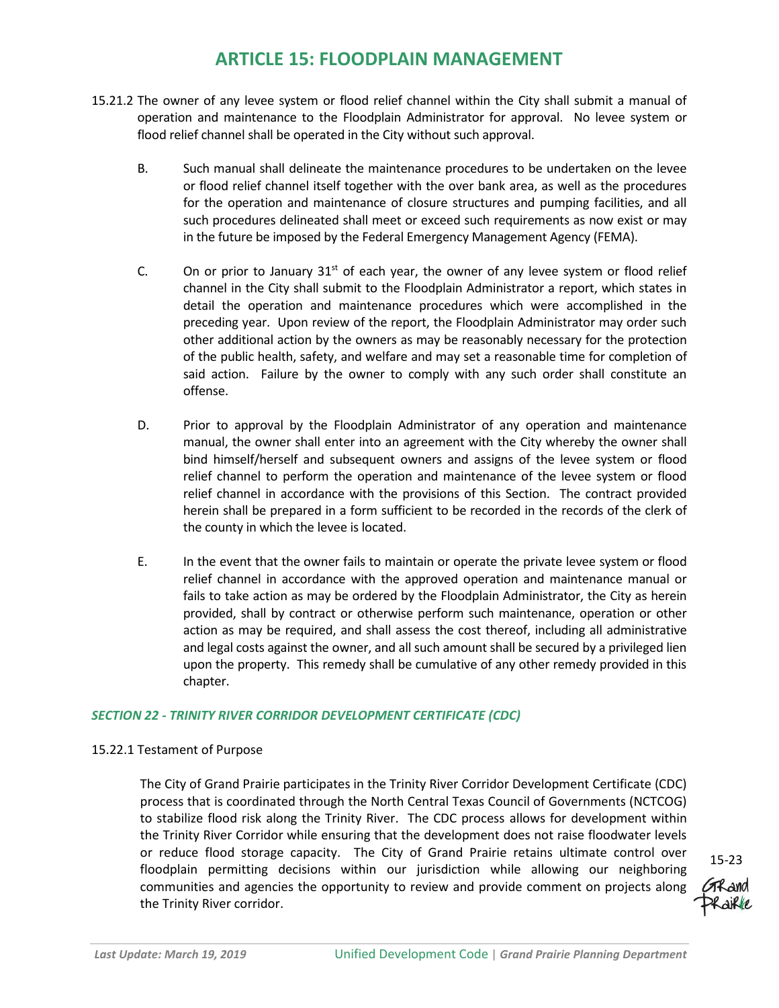- 15.21.2 The owner of any levee system or flood relief channel within the City shall submit a manual of operation and maintenance to the Floodplain Administrator for approval. No levee system or flood relief channel shall be operated in the City without such approval.
	- B. Such manual shall delineate the maintenance procedures to be undertaken on the levee or flood relief channel itself together with the over bank area, as well as the procedures for the operation and maintenance of closure structures and pumping facilities, and all such procedures delineated shall meet or exceed such requirements as now exist or may in the future be imposed by the Federal Emergency Management Agency (FEMA).
	- C. On or prior to January  $31<sup>st</sup>$  of each year, the owner of any levee system or flood relief channel in the City shall submit to the Floodplain Administrator a report, which states in detail the operation and maintenance procedures which were accomplished in the preceding year. Upon review of the report, the Floodplain Administrator may order such other additional action by the owners as may be reasonably necessary for the protection of the public health, safety, and welfare and may set a reasonable time for completion of said action. Failure by the owner to comply with any such order shall constitute an offense.
	- D. Prior to approval by the Floodplain Administrator of any operation and maintenance manual, the owner shall enter into an agreement with the City whereby the owner shall bind himself/herself and subsequent owners and assigns of the levee system or flood relief channel to perform the operation and maintenance of the levee system or flood relief channel in accordance with the provisions of this Section. The contract provided herein shall be prepared in a form sufficient to be recorded in the records of the clerk of the county in which the levee is located.
	- E. In the event that the owner fails to maintain or operate the private levee system or flood relief channel in accordance with the approved operation and maintenance manual or fails to take action as may be ordered by the Floodplain Administrator, the City as herein provided, shall by contract or otherwise perform such maintenance, operation or other action as may be required, and shall assess the cost thereof, including all administrative and legal costs against the owner, and all such amount shall be secured by a privileged lien upon the property. This remedy shall be cumulative of any other remedy provided in this chapter.

## *SECTION 22 - TRINITY RIVER CORRIDOR DEVELOPMENT CERTIFICATE (CDC)*

## 15.22.1 Testament of Purpose

The City of Grand Prairie participates in the Trinity River Corridor Development Certificate (CDC) process that is coordinated through the North Central Texas Council of Governments (NCTCOG) to stabilize flood risk along the Trinity River. The CDC process allows for development within the Trinity River Corridor while ensuring that the development does not raise floodwater levels or reduce flood storage capacity. The City of Grand Prairie retains ultimate control over floodplain permitting decisions within our jurisdiction while allowing our neighboring communities and agencies the opportunity to review and provide comment on projects along the Trinity River corridor.

15-23 GRand<br>PRaikke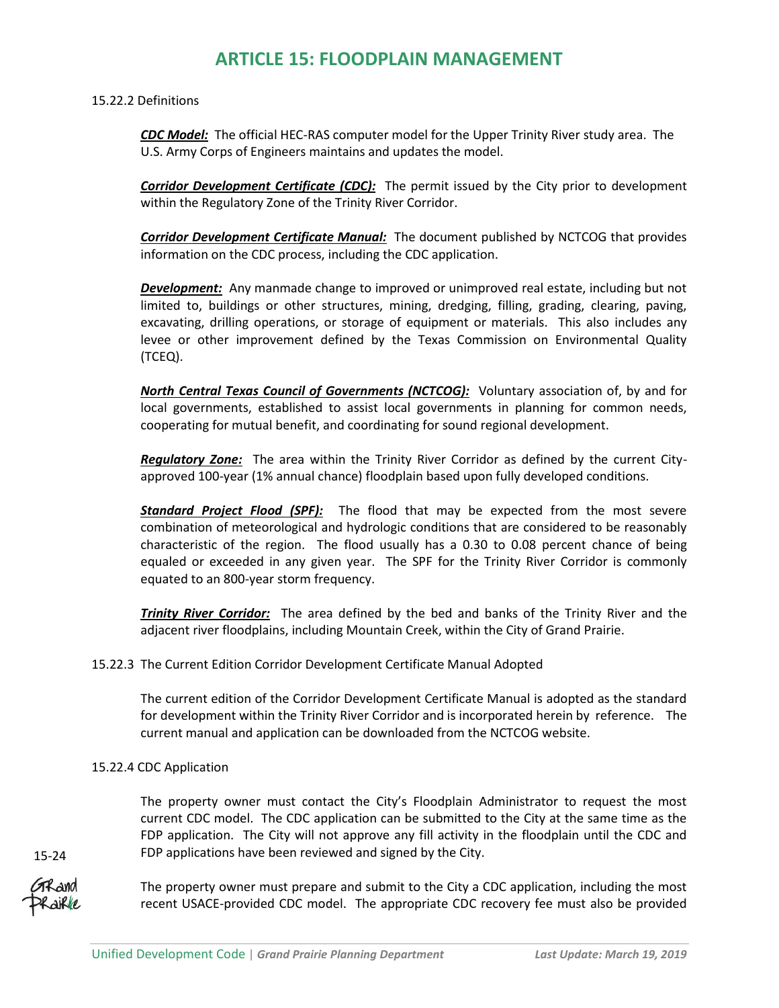#### 15.22.2 Definitions

*CDC Model:* The official HEC-RAS computer model for the Upper Trinity River study area. The U.S. Army Corps of Engineers maintains and updates the model.

*Corridor Development Certificate (CDC):* The permit issued by the City prior to development within the Regulatory Zone of the Trinity River Corridor.

*Corridor Development Certificate Manual:* The document published by NCTCOG that provides information on the CDC process, including the CDC application.

*Development:* Any manmade change to improved or unimproved real estate, including but not limited to, buildings or other structures, mining, dredging, filling, grading, clearing, paving, excavating, drilling operations, or storage of equipment or materials. This also includes any levee or other improvement defined by the Texas Commission on Environmental Quality (TCEQ).

*North Central Texas Council of Governments (NCTCOG):* Voluntary association of, by and for local governments, established to assist local governments in planning for common needs, cooperating for mutual benefit, and coordinating for sound regional development.

*Regulatory Zone:* The area within the Trinity River Corridor as defined by the current Cityapproved 100-year (1% annual chance) floodplain based upon fully developed conditions.

*Standard Project Flood (SPF):* The flood that may be expected from the most severe combination of meteorological and hydrologic conditions that are considered to be reasonably characteristic of the region. The flood usually has a 0.30 to 0.08 percent chance of being equaled or exceeded in any given year. The SPF for the Trinity River Corridor is commonly equated to an 800-year storm frequency.

*Trinity River Corridor:* The area defined by the bed and banks of the Trinity River and the adjacent river floodplains, including Mountain Creek, within the City of Grand Prairie.

## 15.22.3 The Current Edition Corridor Development Certificate Manual Adopted

The current edition of the Corridor Development Certificate Manual is adopted as the standard for development within the Trinity River Corridor and is incorporated herein by reference. The current manual and application can be downloaded from the NCTCOG website.

#### 15.22.4 CDC Application

The property owner must contact the City's Floodplain Administrator to request the most current CDC model. The CDC application can be submitted to the City at the same time as the FDP application. The City will not approve any fill activity in the floodplain until the CDC and FDP applications have been reviewed and signed by the City.

15-24

The property owner must prepare and submit to the City a CDC application, including the most recent USACE-provided CDC model. The appropriate CDC recovery fee must also be provided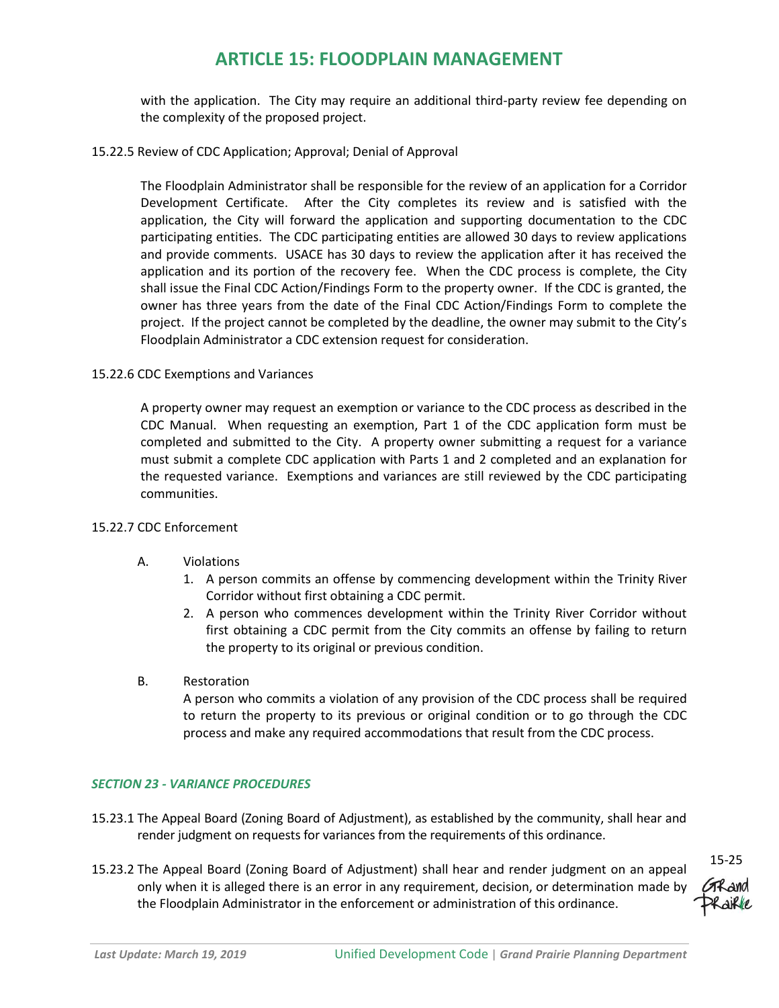with the application. The City may require an additional third-party review fee depending on the complexity of the proposed project.

#### 15.22.5 Review of CDC Application; Approval; Denial of Approval

The Floodplain Administrator shall be responsible for the review of an application for a Corridor Development Certificate. After the City completes its review and is satisfied with the application, the City will forward the application and supporting documentation to the CDC participating entities. The CDC participating entities are allowed 30 days to review applications and provide comments. USACE has 30 days to review the application after it has received the application and its portion of the recovery fee. When the CDC process is complete, the City shall issue the Final CDC Action/Findings Form to the property owner. If the CDC is granted, the owner has three years from the date of the Final CDC Action/Findings Form to complete the project. If the project cannot be completed by the deadline, the owner may submit to the City's Floodplain Administrator a CDC extension request for consideration.

#### 15.22.6 CDC Exemptions and Variances

A property owner may request an exemption or variance to the CDC process as described in the CDC Manual. When requesting an exemption, Part 1 of the CDC application form must be completed and submitted to the City. A property owner submitting a request for a variance must submit a complete CDC application with Parts 1 and 2 completed and an explanation for the requested variance. Exemptions and variances are still reviewed by the CDC participating communities.

## 15.22.7 CDC Enforcement

- A. Violations
	- 1. A person commits an offense by commencing development within the Trinity River Corridor without first obtaining a CDC permit.
	- 2. A person who commences development within the Trinity River Corridor without first obtaining a CDC permit from the City commits an offense by failing to return the property to its original or previous condition.
- B. Restoration

A person who commits a violation of any provision of the CDC process shall be required to return the property to its previous or original condition or to go through the CDC process and make any required accommodations that result from the CDC process.

## *SECTION 23 - VARIANCE PROCEDURES*

- 15.23.1 The Appeal Board (Zoning Board of Adjustment), as established by the community, shall hear and render judgment on requests for variances from the requirements of this ordinance.
- 15.23.2 The Appeal Board (Zoning Board of Adjustment) shall hear and render judgment on an appeal only when it is alleged there is an error in any requirement, decision, or determination made by the Floodplain Administrator in the enforcement or administration of this ordinance.

15-25 *Grand*<br>Phaikke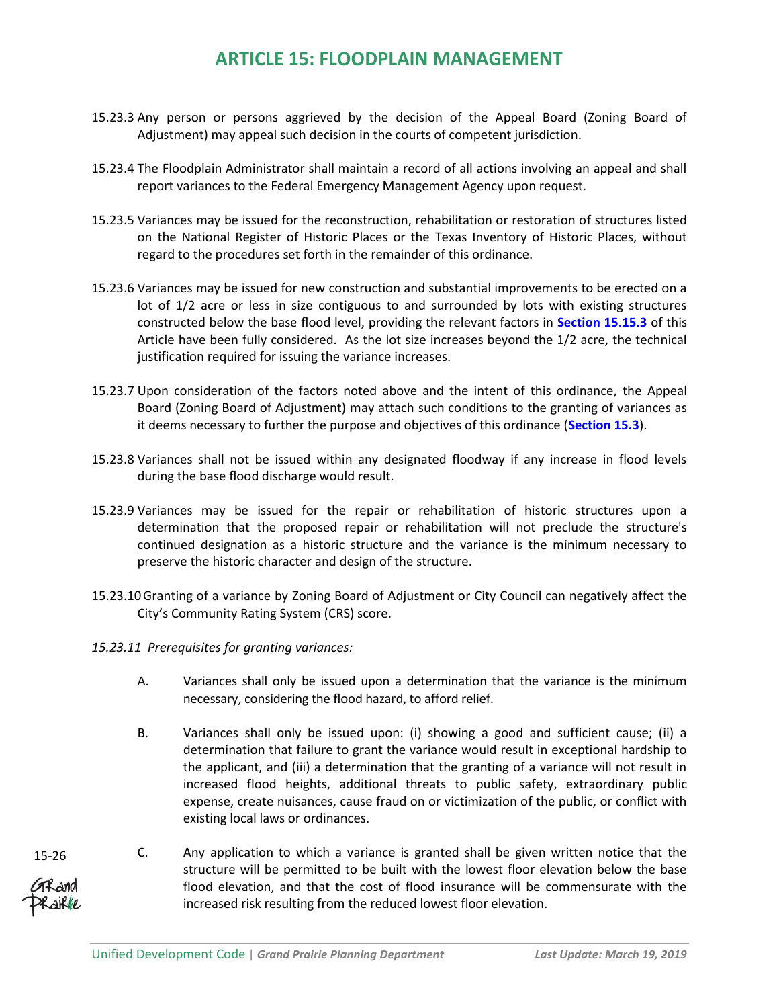- 15.23.3 Any person or persons aggrieved by the decision of the Appeal Board (Zoning Board of Adjustment) may appeal such decision in the courts of competent jurisdiction.
- 15.23.4 The Floodplain Administrator shall maintain a record of all actions involving an appeal and shall report variances to the Federal Emergency Management Agency upon request.
- 15.23.5 Variances may be issued for the reconstruction, rehabilitation or restoration of structures listed on the National Register of Historic Places or the Texas Inventory of Historic Places, without regard to the procedures set forth in the remainder of this ordinance.
- 15.23.6 Variances may be issued for new construction and substantial improvements to be erected on a lot of 1/2 acre or less in size contiguous to and surrounded by lots with existing structures constructed below the base flood level, providing the relevant factors in **Section 15.15.3** of this Article have been fully considered. As the lot size increases beyond the 1/2 acre, the technical justification required for issuing the variance increases.
- 15.23.7 Upon consideration of the factors noted above and the intent of this ordinance, the Appeal Board (Zoning Board of Adjustment) may attach such conditions to the granting of variances as it deems necessary to further the purpose and objectives of this ordinance (**Section 15.3**).
- 15.23.8 Variances shall not be issued within any designated floodway if any increase in flood levels during the base flood discharge would result.
- 15.23.9 Variances may be issued for the repair or rehabilitation of historic structures upon a determination that the proposed repair or rehabilitation will not preclude the structure's continued designation as a historic structure and the variance is the minimum necessary to preserve the historic character and design of the structure.
- 15.23.10Granting of a variance by Zoning Board of Adjustment or City Council can negatively affect the City's Community Rating System (CRS) score.
- *15.23.11 Prerequisites for granting variances:*
	- A. Variances shall only be issued upon a determination that the variance is the minimum necessary, considering the flood hazard, to afford relief.
	- B. Variances shall only be issued upon: (i) showing a good and sufficient cause; (ii) a determination that failure to grant the variance would result in exceptional hardship to the applicant, and (iii) a determination that the granting of a variance will not result in increased flood heights, additional threats to public safety, extraordinary public expense, create nuisances, cause fraud on or victimization of the public, or conflict with existing local laws or ordinances.

C. Any application to which a variance is granted shall be given written notice that the structure will be permitted to be built with the lowest floor elevation below the base flood elevation, and that the cost of flood insurance will be commensurate with the increased risk resulting from the reduced lowest floor elevation.

15-26

GRand<br>PRaikke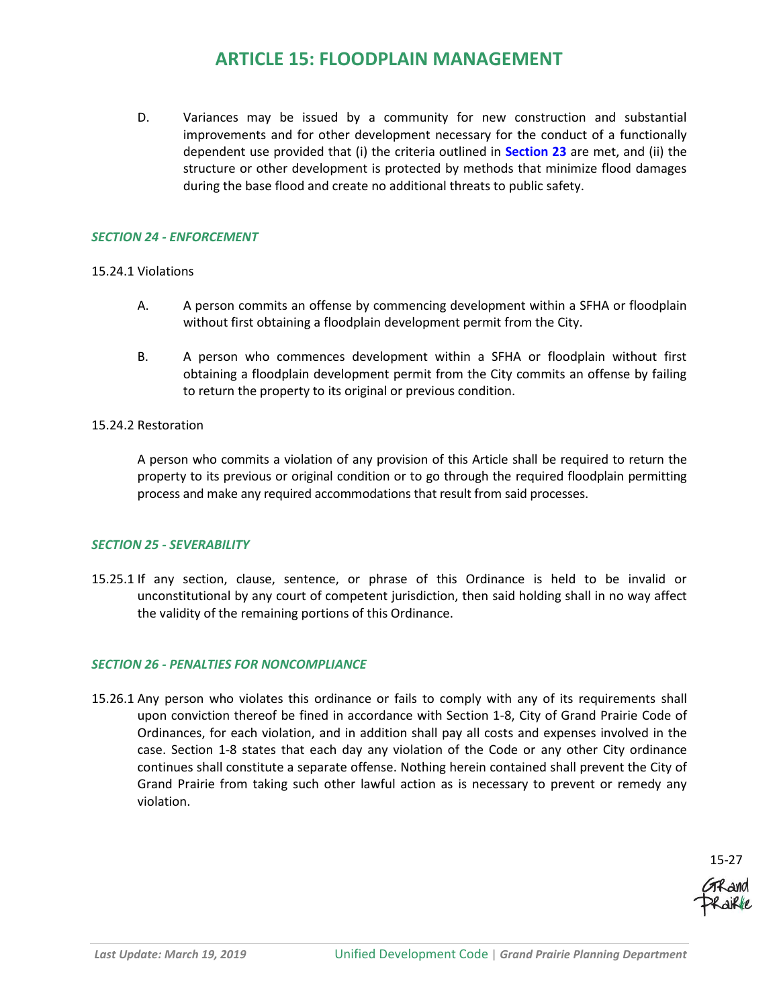D. Variances may be issued by a community for new construction and substantial improvements and for other development necessary for the conduct of a functionally dependent use provided that (i) the criteria outlined in **Section 23** are met, and (ii) the structure or other development is protected by methods that minimize flood damages during the base flood and create no additional threats to public safety.

#### *SECTION 24 - ENFORCEMENT*

#### 15.24.1 Violations

- A. A person commits an offense by commencing development within a SFHA or floodplain without first obtaining a floodplain development permit from the City.
- B. A person who commences development within a SFHA or floodplain without first obtaining a floodplain development permit from the City commits an offense by failing to return the property to its original or previous condition.

#### 15.24.2 Restoration

A person who commits a violation of any provision of this Article shall be required to return the property to its previous or original condition or to go through the required floodplain permitting process and make any required accommodations that result from said processes.

## *SECTION 25 - SEVERABILITY*

15.25.1 If any section, clause, sentence, or phrase of this Ordinance is held to be invalid or unconstitutional by any court of competent jurisdiction, then said holding shall in no way affect the validity of the remaining portions of this Ordinance.

## *SECTION 26 - PENALTIES FOR NONCOMPLIANCE*

15.26.1 Any person who violates this ordinance or fails to comply with any of its requirements shall upon conviction thereof be fined in accordance with Section 1-8, City of Grand Prairie Code of Ordinances, for each violation, and in addition shall pay all costs and expenses involved in the case. Section 1-8 states that each day any violation of the Code or any other City ordinance continues shall constitute a separate offense. Nothing herein contained shall prevent the City of Grand Prairie from taking such other lawful action as is necessary to prevent or remedy any violation.